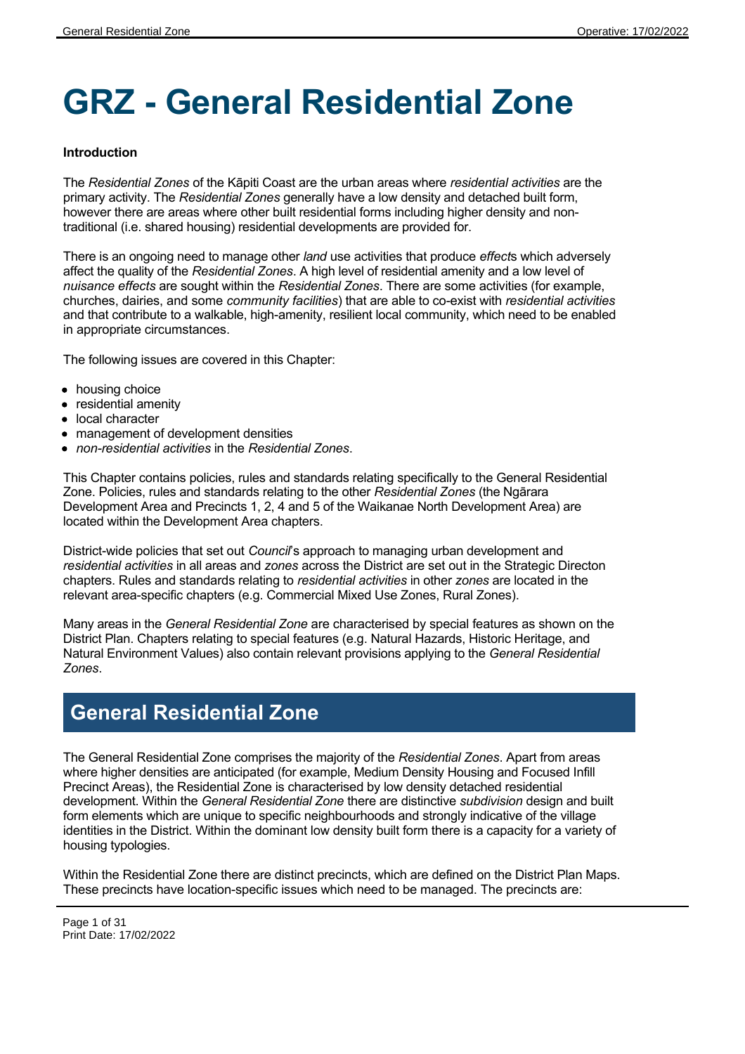# **GRZ - General Residential Zone**

### **Introduction**

The *Residential Zones* of the Kāpiti Coast are the urban areas where *residential activities* are the primary activity. The *Residential Zones* generally have a low density and detached built form, however there are areas where other built residential forms including higher density and nontraditional (i.e. shared housing) residential developments are provided for.

There is an ongoing need to manage other *land* use activities that produce *effect*s which adversely affect the quality of the *Residential Zones*. A high level of residential amenity and a low level of *nuisance effects* are sought within the *Residential Zones*. There are some activities (for example, churches, dairies, and some *community facilities*) that are able to co-exist with *residential activities* and that contribute to a walkable, high-amenity, resilient local community, which need to be enabled in appropriate circumstances.

The following issues are covered in this Chapter:

- housing choice
- residential amenity
- local character
- management of development densities
- *non-residential activities* in the *Residential Zones*.

This Chapter contains policies, rules and standards relating specifically to the General Residential Zone. Policies, rules and standards relating to the other *Residential Zones* (the Ngārara Development Area and Precincts 1, 2, 4 and 5 of the Waikanae North Development Area) are located within the Development Area chapters.

District-wide policies that set out *Council*'s approach to managing urban development and *residential activities* in all areas and *zones* across the District are set out in the Strategic Directon chapters. Rules and standards relating to *residential activities* in other *zones* are located in the relevant area-specific chapters (e.g. Commercial Mixed Use Zones, Rural Zones).

Many areas in the *General Residential Zone* are characterised by special features as shown on the District Plan. Chapters relating to special features (e.g. Natural Hazards, Historic Heritage, and Natural Environment Values) also contain relevant provisions applying to the *General Residential Zones*.

# **General Residential Zone**

The General Residential Zone comprises the majority of the *Residential Zones*. Apart from areas where higher densities are anticipated (for example, Medium Density Housing and Focused Infill Precinct Areas), the Residential Zone is characterised by low density detached residential development. Within the *General Residential Zone* there are distinctive *subdivision* design and built form elements which are unique to specific neighbourhoods and strongly indicative of the village identities in the District. Within the dominant low density built form there is a capacity for a variety of housing typologies.

Within the Residential Zone there are distinct precincts, which are defined on the District Plan Maps. These precincts have location-specific issues which need to be managed. The precincts are: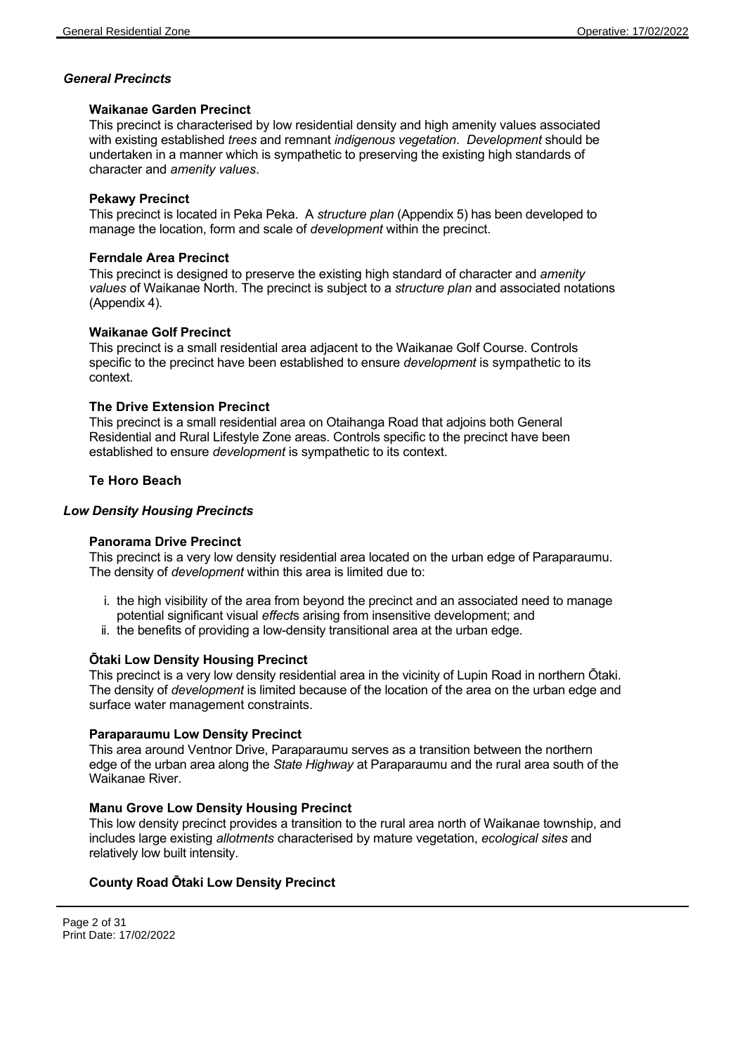# *General Precincts*

### **Waikanae Garden Precinct**

This precinct is characterised by low residential density and high amenity values associated with existing established *trees* and remnant *indigenous vegetation*. *Development* should be undertaken in a manner which is sympathetic to preserving the existing high standards of character and *amenity values*.

### **Pekawy Precinct**

This precinct is located in Peka Peka. A *structure plan* (Appendix 5) has been developed to manage the location, form and scale of *development* within the precinct.

### **Ferndale Area Precinct**

This precinct is designed to preserve the existing high standard of character and *amenity values* of Waikanae North. The precinct is subject to a *structure plan* and associated notations (Appendix 4).

### **Waikanae Golf Precinct**

This precinct is a small residential area adjacent to the Waikanae Golf Course. Controls specific to the precinct have been established to ensure *development* is sympathetic to its context.

# **The Drive Extension Precinct**

This precinct is a small residential area on Otaihanga Road that adjoins both General Residential and Rural Lifestyle Zone areas. Controls specific to the precinct have been established to ensure *development* is sympathetic to its context.

# **Te Horo Beach**

### *Low Density Housing Precincts*

# **Panorama Drive Precinct**

This precinct is a very low density residential area located on the urban edge of Paraparaumu. The density of *development* within this area is limited due to:

- i. the high visibility of the area from beyond the precinct and an associated need to manage potential significant visual *effect*s arising from insensitive development; and
- ii. the benefits of providing a low-density transitional area at the urban edge.

# **Ōtaki Low Density Housing Precinct**

This precinct is a very low density residential area in the vicinity of Lupin Road in northern Ōtaki. The density of *development* is limited because of the location of the area on the urban edge and surface water management constraints.

# **Paraparaumu Low Density Precinct**

This area around Ventnor Drive, Paraparaumu serves as a transition between the northern edge of the urban area along the *State Highway* at Paraparaumu and the rural area south of the Waikanae River.

# **Manu Grove Low Density Housing Precinct**

This low density precinct provides a transition to the rural area north of Waikanae township, and includes large existing *allotments* characterised by mature vegetation, *ecological sites* and relatively low built intensity.

# **County Road Ōtaki Low Density Precinct**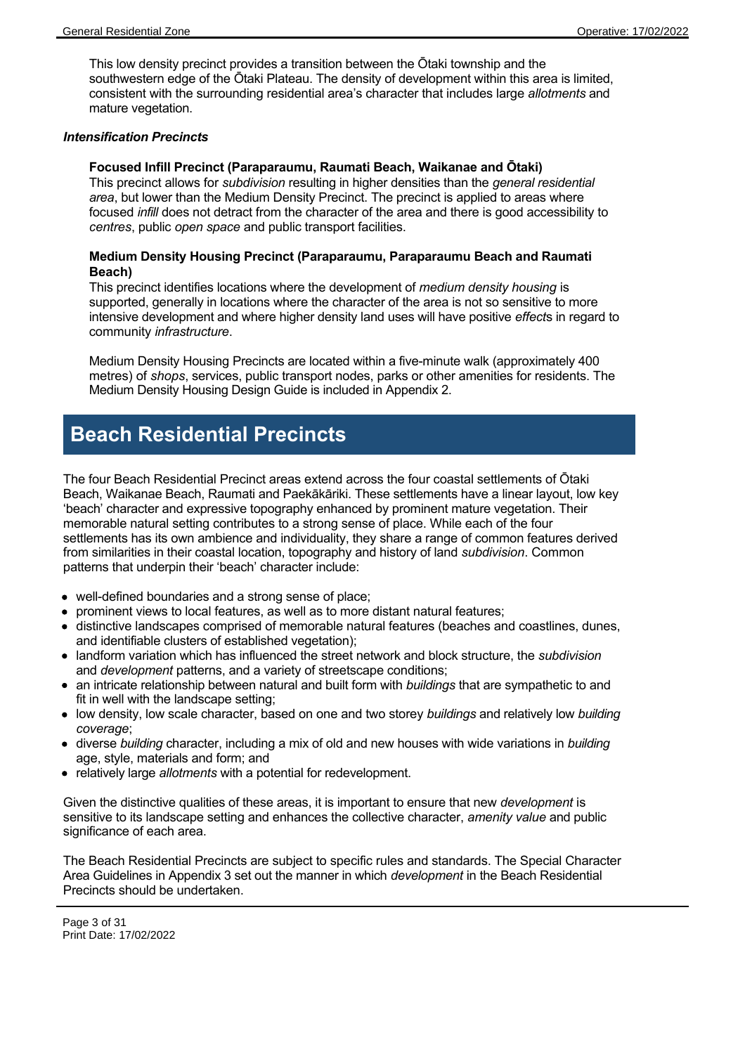This low density precinct provides a transition between the Ōtaki township and the southwestern edge of the Ōtaki Plateau. The density of development within this area is limited, consistent with the surrounding residential area's character that includes large *allotments* and mature vegetation.

### *Intensification Precincts*

### **Focused Infill Precinct (Paraparaumu, Raumati Beach, Waikanae and Ōtaki)**

This precinct allows for *subdivision* resulting in higher densities than the *general residential area*, but lower than the Medium Density Precinct. The precinct is applied to areas where focused *infill* does not detract from the character of the area and there is good accessibility to *centres*, public *open space* and public transport facilities.

### **Medium Density Housing Precinct (Paraparaumu, Paraparaumu Beach and Raumati Beach)**

This precinct identifies locations where the development of *medium density housing* is supported, generally in locations where the character of the area is not so sensitive to more intensive development and where higher density land uses will have positive *effect*s in regard to community *infrastructure*.

Medium Density Housing Precincts are located within a five-minute walk (approximately 400 metres) of *shops*, services, public transport nodes, parks or other amenities for residents. The Medium Density Housing Design Guide is included in Appendix 2.

# **Beach Residential Precincts**

The four Beach Residential Precinct areas extend across the four coastal settlements of Ōtaki Beach, Waikanae Beach, Raumati and Paekākāriki. These settlements have a linear layout, low key 'beach' character and expressive topography enhanced by prominent mature vegetation. Their memorable natural setting contributes to a strong sense of place. While each of the four settlements has its own ambience and individuality, they share a range of common features derived from similarities in their coastal location, topography and history of land *subdivision*. Common patterns that underpin their 'beach' character include:

- well-defined boundaries and a strong sense of place;
- prominent views to local features, as well as to more distant natural features;
- distinctive landscapes comprised of memorable natural features (beaches and coastlines, dunes, and identifiable clusters of established vegetation);
- landform variation which has influenced the street network and block structure, the *subdivision* and *development* patterns, and a variety of streetscape conditions;
- an intricate relationship between natural and built form with *buildings* that are sympathetic to and fit in well with the landscape setting;
- low density, low scale character, based on one and two storey *buildings* and relatively low *building coverage*;
- diverse *building* character, including a mix of old and new houses with wide variations in *building* age, style, materials and form; and
- relatively large *allotments* with a potential for redevelopment.

Given the distinctive qualities of these areas, it is important to ensure that new *development* is sensitive to its landscape setting and enhances the collective character, *amenity value* and public significance of each area.

The Beach Residential Precincts are subject to specific rules and standards. The Special Character Area Guidelines in Appendix 3 set out the manner in which *development* in the Beach Residential Precincts should be undertaken.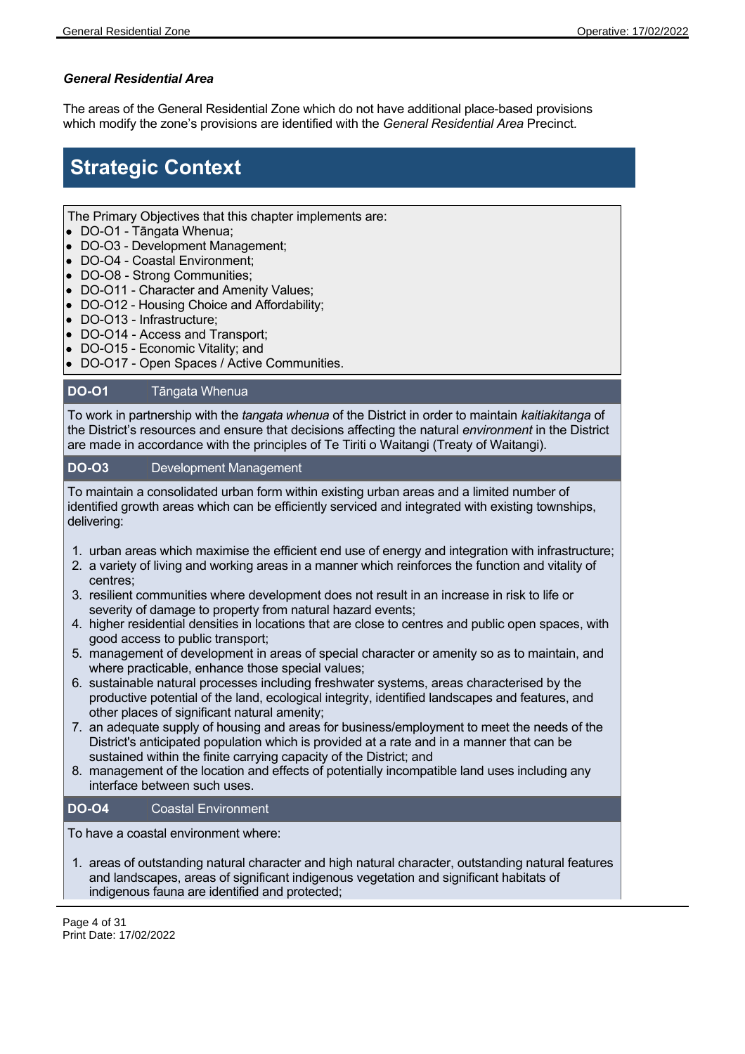# *General Residential Area*

The areas of the General Residential Zone which do not have additional place-based provisions which modify the zone's provisions are identified with the *General Residential Area* Precinct*.*

# **Strategic Context**

The Primary Objectives that this chapter implements are:

- DO-O1 Tāngata Whenua;
- DO-O3 Development Management;
- DO-O4 Coastal Environment;
- DO-O8 Strong Communities;
- DO-O11 Character and Amenity Values;
- DO-O12 Housing Choice and Affordability;
- DO-O13 Infrastructure;
- DO-O14 Access and Transport;
- DO-O15 Economic Vitality; and
- DO-O17 Open Spaces / Active Communities.

# **DO-O1** Tāngata Whenua

To work in partnership with the *tangata whenua* of the District in order to maintain *kaitiakitanga* of the District's resources and ensure that decisions affecting the natural *environment* in the District are made in accordance with the principles of Te Tiriti o Waitangi (Treaty of Waitangi).

# **DO-O3** Development Management

To maintain a consolidated urban form within existing urban areas and a limited number of identified growth areas which can be efficiently serviced and integrated with existing townships, delivering:

- 1. urban areas which maximise the efficient end use of energy and integration with infrastructure;
- 2. a variety of living and working areas in a manner which reinforces the function and vitality of centres;
- 3. resilient communities where development does not result in an increase in risk to life or severity of damage to property from natural hazard events;
- 4. higher residential densities in locations that are close to centres and public open spaces, with good access to public transport;
- 5. management of development in areas of special character or amenity so as to maintain, and where practicable, enhance those special values;
- 6. sustainable natural processes including freshwater systems, areas characterised by the productive potential of the land, ecological integrity, identified landscapes and features, and other places of significant natural amenity;
- 7. an adequate supply of housing and areas for business/employment to meet the needs of the District's anticipated population which is provided at a rate and in a manner that can be sustained within the finite carrying capacity of the District; and
- 8. management of the location and effects of potentially incompatible land uses including any interface between such uses.

# **DO-O4** Coastal Environment

To have a coastal environment where:

1. areas of outstanding natural character and high natural character, outstanding natural features and landscapes, areas of significant indigenous vegetation and significant habitats of indigenous fauna are identified and protected;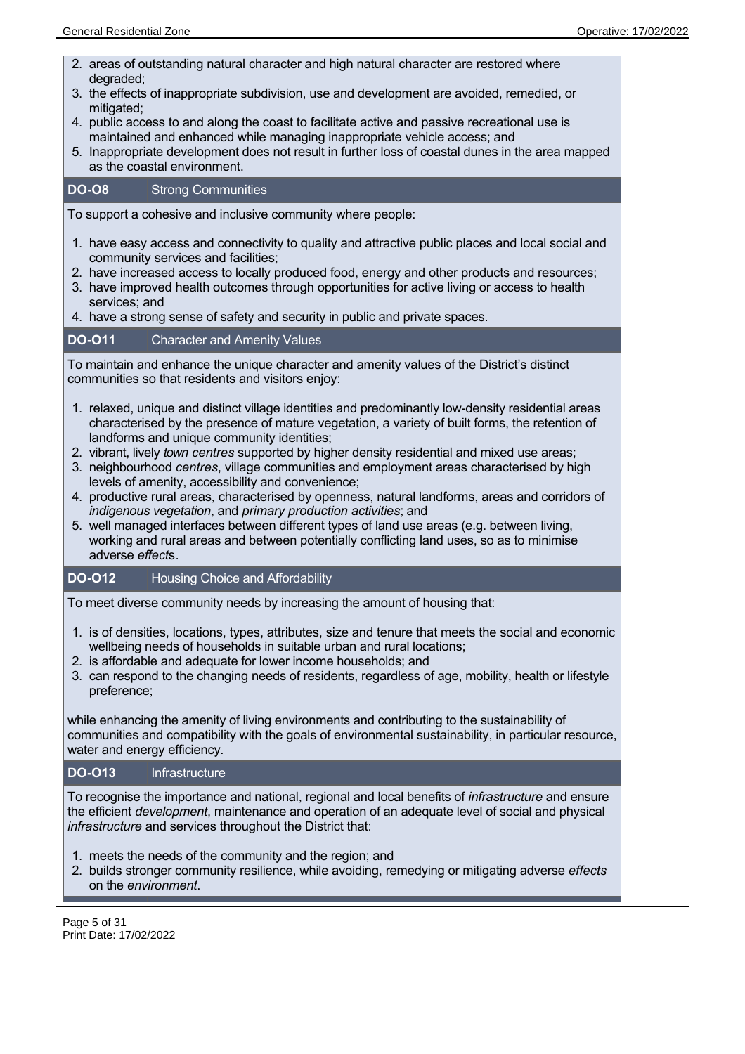- 2. areas of outstanding natural character and high natural character are restored where degraded;
- 3. the effects of inappropriate subdivision, use and development are avoided, remedied, or mitigated:
- 4. public access to and along the coast to facilitate active and passive recreational use is maintained and enhanced while managing inappropriate vehicle access; and
- 5. Inappropriate development does not result in further loss of coastal dunes in the area mapped as the coastal environment.

# **DO-O8** Strong Communities

To support a cohesive and inclusive community where people:

- 1. have easy access and connectivity to quality and attractive public places and local social and community services and facilities;
- 2. have increased access to locally produced food, energy and other products and resources;
- 3. have improved health outcomes through opportunities for active living or access to health services; and
- 4. have a strong sense of safety and security in public and private spaces.

# **DO-O11** Character and Amenity Values

To maintain and enhance the unique character and amenity values of the District's distinct communities so that residents and visitors enjoy:

- 1. relaxed, unique and distinct village identities and predominantly low-density residential areas characterised by the presence of mature vegetation, a variety of built forms, the retention of landforms and unique community identities;
- 2. vibrant, lively *town centres* supported by higher density residential and mixed use areas;
- 3. neighbourhood *centres*, village communities and employment areas characterised by high levels of amenity, accessibility and convenience;
- 4. productive rural areas, characterised by openness, natural landforms, areas and corridors of *indigenous vegetation*, and *primary production activities*; and
- 5. well managed interfaces between different types of land use areas (e.g. between living, working and rural areas and between potentially conflicting land uses, so as to minimise adverse *effect*s.

# **DO-O12** Housing Choice and Affordability

To meet diverse community needs by increasing the amount of housing that:

- 1. is of densities, locations, types, attributes, size and tenure that meets the social and economic wellbeing needs of households in suitable urban and rural locations;
- 2. is affordable and adequate for lower income households; and
- 3. can respond to the changing needs of residents, regardless of age, mobility, health or lifestyle preference;

while enhancing the amenity of living environments and contributing to the sustainability of communities and compatibility with the goals of environmental sustainability, in particular resource, water and energy efficiency.

# **DO-O13** Infrastructure

To recognise the importance and national, regional and local benefits of *infrastructure* and ensure the efficient *development*, maintenance and operation of an adequate level of social and physical *infrastructure* and services throughout the District that:

- 1. meets the needs of the community and the region; and
- 2. builds stronger community resilience, while avoiding, remedying or mitigating adverse *effects* on the *environment*.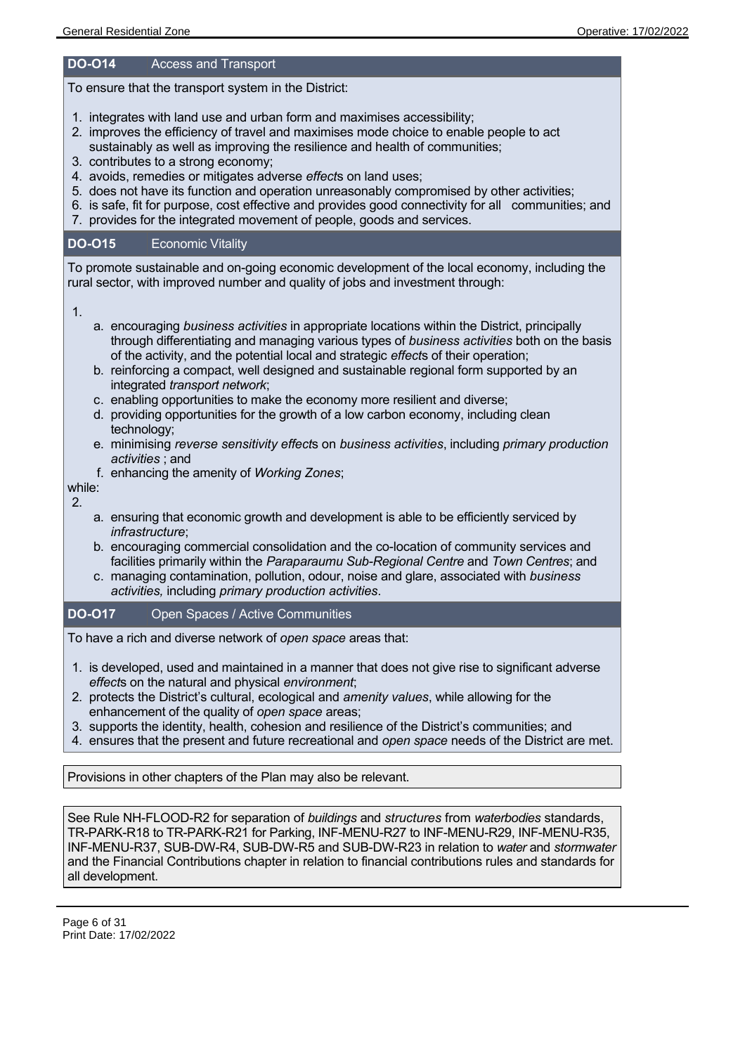#### **DO-O14** Access and Transport

To ensure that the transport system in the District:

- 1. integrates with land use and urban form and maximises accessibility;
- 2. improves the efficiency of travel and maximises mode choice to enable people to act sustainably as well as improving the resilience and health of communities;
- 3. contributes to a strong economy;
- 4. avoids, remedies or mitigates adverse *effect*s on land uses;
- 5. does not have its function and operation unreasonably compromised by other activities;
- 6. is safe, fit for purpose, cost effective and provides good connectivity for all communities; and
- 7. provides for the integrated movement of people, goods and services.

### **DO-O15** Economic Vitality

To promote sustainable and on-going economic development of the local economy, including the rural sector, with improved number and quality of jobs and investment through:

1.

- a. encouraging *business activities* in appropriate locations within the District, principally through differentiating and managing various types of *business activities* both on the basis of the activity, and the potential local and strategic *effect*s of their operation;
- b. reinforcing a compact, well designed and sustainable regional form supported by an integrated *transport network*;
- c. enabling opportunities to make the economy more resilient and diverse;
- d. providing opportunities for the growth of a low carbon economy, including clean technology;
- e. minimising *reverse sensitivity effect*s on *business activities*, including *primary production activities* ; and
- f. enhancing the amenity of *Working Zones*;

while:  $\mathcal{P}$ 

- a. ensuring that economic growth and development is able to be efficiently serviced by *infrastructure*;
- b. encouraging commercial consolidation and the co-location of community services and facilities primarily within the *Paraparaumu Sub-Regional Centre* and *Town Centres*; and
- c. managing contamination, pollution, odour, noise and glare, associated with *business activities,* including *primary production activities*.

# **DO-O17** Open Spaces / Active Communities

To have a rich and diverse network of *open space* areas that:

- 1. is developed, used and maintained in a manner that does not give rise to significant adverse *effect*s on the natural and physical *environment*;
- 2. protects the District's cultural, ecological and *amenity values*, while allowing for the enhancement of the quality of *open space* areas;
- 3. supports the identity, health, cohesion and resilience of the District's communities; and
- 4. ensures that the present and future recreational and *open space* needs of the District are met.

# Provisions in other chapters of the Plan may also be relevant.

See Rule NH-FLOOD-R2 for separation of *buildings* and *structures* from *waterbodies* standards, TR-PARK-R18 to TR-PARK-R21 for Parking, INF-MENU-R27 to INF-MENU-R29, INF-MENU-R35, INF-MENU-R37, SUB-DW-R4, SUB-DW-R5 and SUB-DW-R23 in relation to *water* and *stormwater* and the Financial Contributions chapter in relation to financial contributions rules and standards for all development.

Page 6 of 31 Print Date: 17/02/2022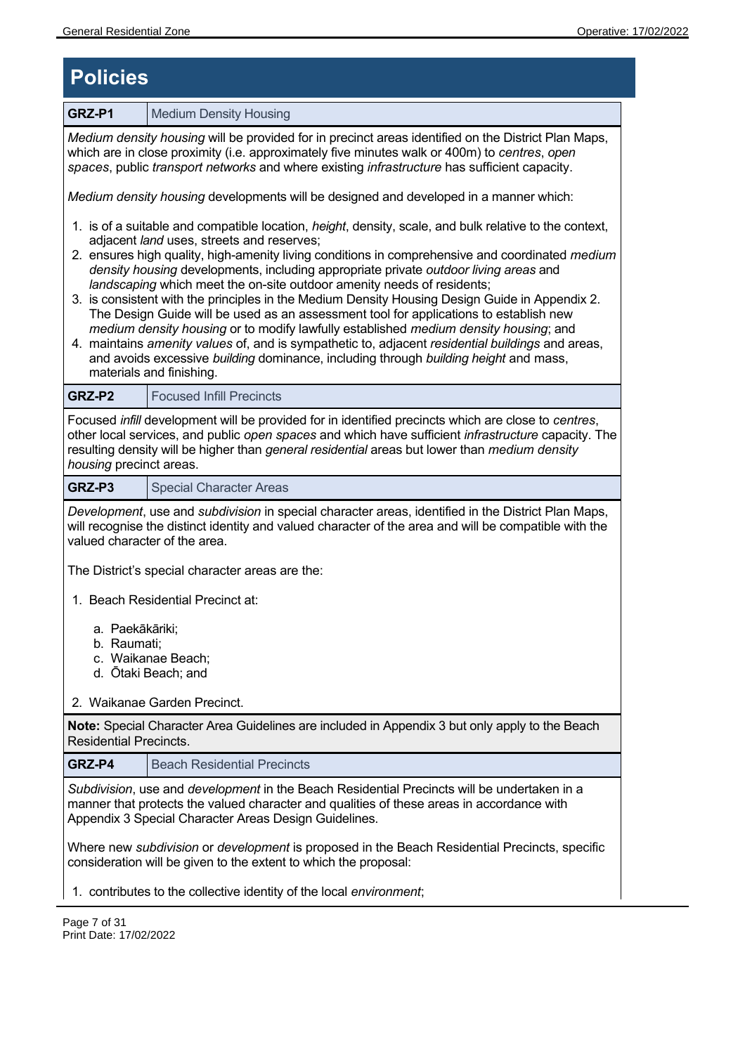# **Policies**

**GRZ-P1** Medium Density Housing *Medium density housing* will be provided for in precinct areas identified on the District Plan Maps, which are in close proximity (i.e. approximately five minutes walk or 400m) to *centres*, *open spaces*, public *transport networks* and where existing *infrastructure* has sufficient capacity. *Medium density housing* developments will be designed and developed in a manner which: 1. is of a suitable and compatible location, *height*, density, scale, and bulk relative to the context, adjacent *land* uses, streets and reserves; 2. ensures high quality, high-amenity living conditions in comprehensive and coordinated *medium density housing* developments, including appropriate private *outdoor living areas* and *landscaping* which meet the on-site outdoor amenity needs of residents; 3. is consistent with the principles in the Medium Density Housing Design Guide in Appendix 2. The Design Guide will be used as an assessment tool for applications to establish new *medium density housing* or to modify lawfully established *medium density housing*; and 4. maintains *amenity values* of, and is sympathetic to, adjacent *residential buildings* and areas, and avoids excessive *building* dominance, including through *building height* and mass, materials and finishing. **GRZ-P2 Focused Infill Precincts** Focused *infill* development will be provided for in identified precincts which are close to *centres*, other local services, and public *open spaces* and which have sufficient *infrastructure* capacity. The resulting density will be higher than *general residential* areas but lower than *medium density housing* precinct areas. **GRZ-P3** Special Character Areas *Development*, use and *subdivision* in special character areas, identified in the District Plan Maps, will recognise the distinct identity and valued character of the area and will be compatible with the valued character of the area. The District's special character areas are the: 1. Beach Residential Precinct at: a. Paekākāriki; b. Raumati; c. Waikanae Beach; d. Ōtaki Beach; and 2. Waikanae Garden Precinct. **Note:** Special Character Area Guidelines are included in Appendix 3 but only apply to the Beach Residential Precincts. **GRZ-P4** Beach Residential Precincts *Subdivision*, use and *development* in the Beach Residential Precincts will be undertaken in a manner that protects the valued character and qualities of these areas in accordance with Appendix 3 Special Character Areas Design Guidelines. Where new *subdivision* or *development* is proposed in the Beach Residential Precincts, specific consideration will be given to the extent to which the proposal: 1. contributes to the collective identity of the local *environment*;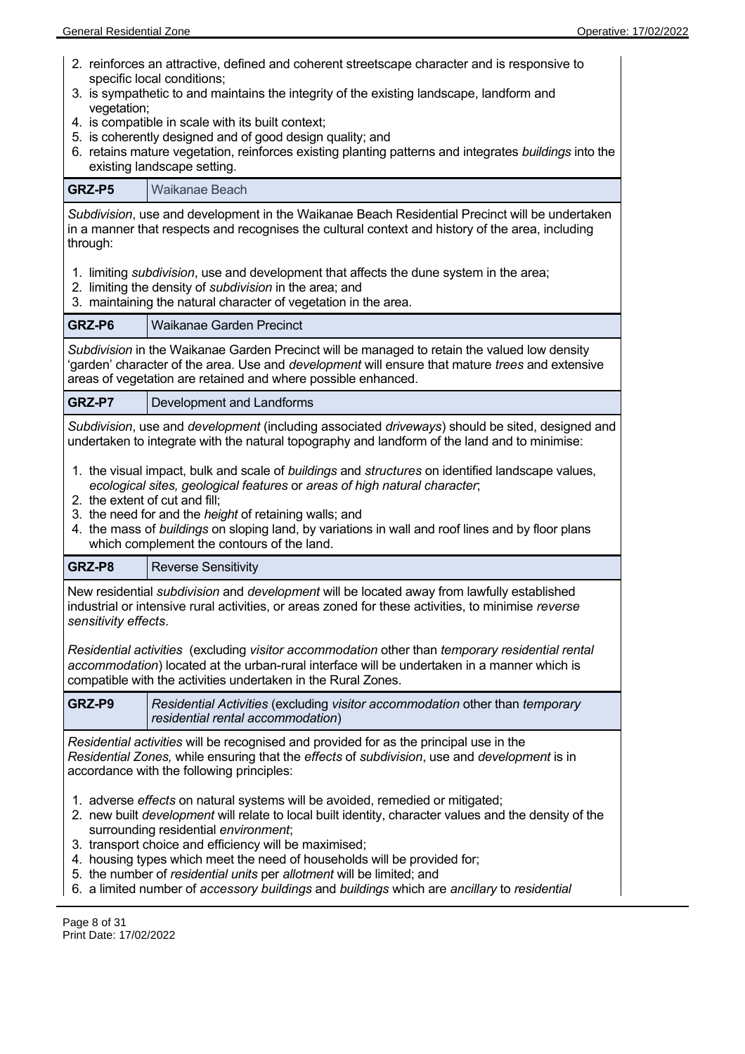- 2. reinforces an attractive, defined and coherent streetscape character and is responsive to specific local conditions;
- 3. is sympathetic to and maintains the integrity of the existing landscape, landform and vegetation:
- 4. is compatible in scale with its built context;
- 5. is coherently designed and of good design quality; and
- 6. retains mature vegetation, reinforces existing planting patterns and integrates *buildings* into the existing landscape setting.

**GRZ-P5** Waikanae Beach

*Subdivision*, use and development in the Waikanae Beach Residential Precinct will be undertaken in a manner that respects and recognises the cultural context and history of the area, including through:

- 1. limiting *subdivision*, use and development that affects the dune system in the area;
- 2. limiting the density of *subdivision* in the area; and
- 3. maintaining the natural character of vegetation in the area.

### **GRZ-P6** Waikanae Garden Precinct

*Subdivision* in the Waikanae Garden Precinct will be managed to retain the valued low density 'garden' character of the area. Use and *development* will ensure that mature *trees* and extensive areas of vegetation are retained and where possible enhanced.

**GRZ-P7** Development and Landforms

*Subdivision*, use and *development* (including associated *driveways*) should be sited, designed and undertaken to integrate with the natural topography and landform of the land and to minimise:

- 1. the visual impact, bulk and scale of *buildings* and *structures* on identified landscape values, *ecological sites, geological features* or *areas of high natural character*;
- 2. the extent of cut and fill;
- 3. the need for and the *height* of retaining walls; and
- 4. the mass of *buildings* on sloping land, by variations in wall and roof lines and by floor plans which complement the contours of the land.

# **GRZ-P8** Reverse Sensitivity

New residential *subdivision* and *development* will be located away from lawfully established industrial or intensive rural activities, or areas zoned for these activities, to minimise *reverse sensitivity effects*.

*Residential activities* (excluding *visitor accommodation* other than *temporary residential rental accommodation*) located at the urban-rural interface will be undertaken in a manner which is compatible with the activities undertaken in the Rural Zones.

**GRZ-P9** *Residential Activities* (excluding *visitor accommodation* other than *temporary residential rental accommodation*)

*Residential activities* will be recognised and provided for as the principal use in the *Residential Zones,* while ensuring that the *effects* of *subdivision*, use and *development* is in accordance with the following principles:

- 1. adverse *effects* on natural systems will be avoided, remedied or mitigated;
- 2. new built *development* will relate to local built identity, character values and the density of the surrounding residential *environment*;
- 3. transport choice and efficiency will be maximised;
- 4. housing types which meet the need of households will be provided for;
- 5. the number of *residential units* per *allotment* will be limited; and
- 6. a limited number of *accessory buildings* and *buildings* which are *ancillary* to *residential*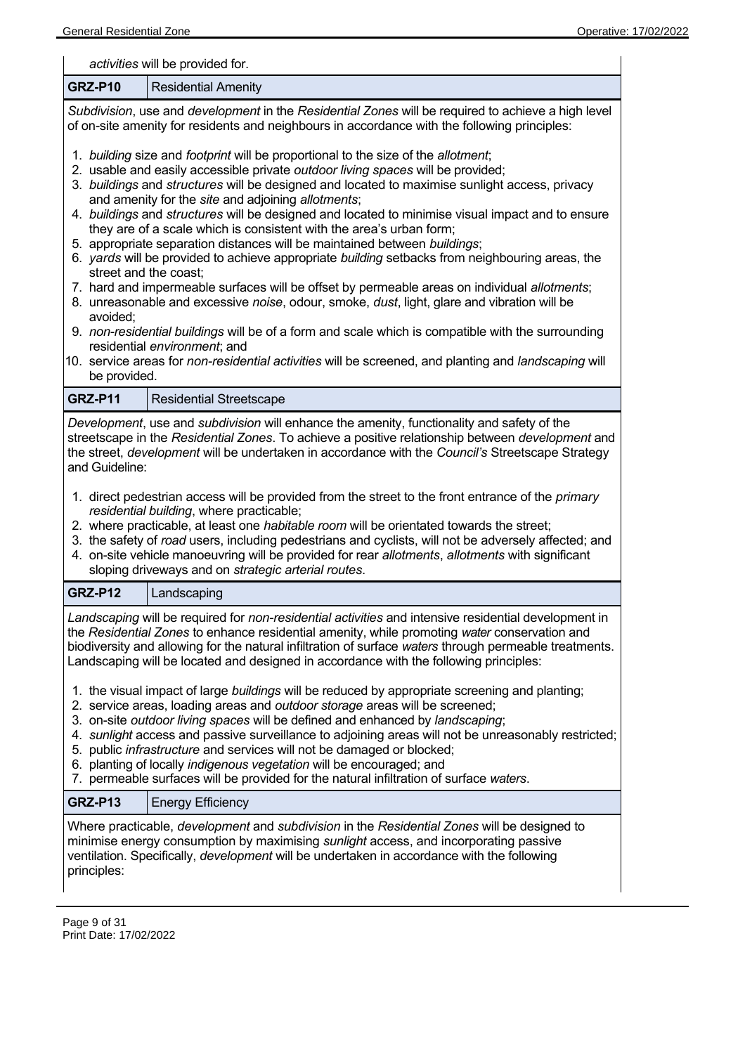| activities will be provided for.                                                                                                                                                                                                                                                                                                                                                                                                                                                                                                                                                                                                                                                                                                                                                                                                                                                                                                                                                                                                                                                                                                                                                        |  |  |  |
|-----------------------------------------------------------------------------------------------------------------------------------------------------------------------------------------------------------------------------------------------------------------------------------------------------------------------------------------------------------------------------------------------------------------------------------------------------------------------------------------------------------------------------------------------------------------------------------------------------------------------------------------------------------------------------------------------------------------------------------------------------------------------------------------------------------------------------------------------------------------------------------------------------------------------------------------------------------------------------------------------------------------------------------------------------------------------------------------------------------------------------------------------------------------------------------------|--|--|--|
| GRZ-P10<br><b>Residential Amenity</b>                                                                                                                                                                                                                                                                                                                                                                                                                                                                                                                                                                                                                                                                                                                                                                                                                                                                                                                                                                                                                                                                                                                                                   |  |  |  |
| Subdivision, use and development in the Residential Zones will be required to achieve a high level<br>of on-site amenity for residents and neighbours in accordance with the following principles:                                                                                                                                                                                                                                                                                                                                                                                                                                                                                                                                                                                                                                                                                                                                                                                                                                                                                                                                                                                      |  |  |  |
| 1. building size and footprint will be proportional to the size of the allotment;<br>2. usable and easily accessible private outdoor living spaces will be provided;<br>3. buildings and structures will be designed and located to maximise sunlight access, privacy<br>and amenity for the site and adjoining allotments;<br>4. buildings and structures will be designed and located to minimise visual impact and to ensure<br>they are of a scale which is consistent with the area's urban form;<br>5. appropriate separation distances will be maintained between buildings;<br>6. yards will be provided to achieve appropriate building setbacks from neighbouring areas, the<br>street and the coast;<br>7. hard and impermeable surfaces will be offset by permeable areas on individual allotments;<br>8. unreasonable and excessive noise, odour, smoke, dust, light, glare and vibration will be<br>avoided;<br>9. non-residential buildings will be of a form and scale which is compatible with the surrounding<br>residential environment; and<br>10. service areas for non-residential activities will be screened, and planting and landscaping will<br>be provided. |  |  |  |
| <b>GRZ-P11</b><br><b>Residential Streetscape</b>                                                                                                                                                                                                                                                                                                                                                                                                                                                                                                                                                                                                                                                                                                                                                                                                                                                                                                                                                                                                                                                                                                                                        |  |  |  |
| Development, use and subdivision will enhance the amenity, functionality and safety of the<br>streetscape in the Residential Zones. To achieve a positive relationship between development and<br>the street, development will be undertaken in accordance with the Council's Streetscape Strategy<br>and Guideline:<br>1. direct pedestrian access will be provided from the street to the front entrance of the <i>primary</i><br>residential building, where practicable;<br>2. where practicable, at least one <i>habitable room</i> will be orientated towards the street;<br>3. the safety of road users, including pedestrians and cyclists, will not be adversely affected; and<br>4. on-site vehicle manoeuvring will be provided for rear allotments, allotments with significant<br>sloping driveways and on strategic arterial routes.                                                                                                                                                                                                                                                                                                                                      |  |  |  |
| GRZ-P12<br>Landscaping                                                                                                                                                                                                                                                                                                                                                                                                                                                                                                                                                                                                                                                                                                                                                                                                                                                                                                                                                                                                                                                                                                                                                                  |  |  |  |
| Landscaping will be required for non-residential activities and intensive residential development in<br>the Residential Zones to enhance residential amenity, while promoting water conservation and<br>biodiversity and allowing for the natural infiltration of surface waters through permeable treatments.<br>Landscaping will be located and designed in accordance with the following principles:                                                                                                                                                                                                                                                                                                                                                                                                                                                                                                                                                                                                                                                                                                                                                                                 |  |  |  |
| 1. the visual impact of large buildings will be reduced by appropriate screening and planting;<br>2. service areas, loading areas and outdoor storage areas will be screened;<br>3. on-site outdoor living spaces will be defined and enhanced by landscaping;<br>4. sunlight access and passive surveillance to adjoining areas will not be unreasonably restricted;<br>5. public infrastructure and services will not be damaged or blocked;<br>6. planting of locally indigenous vegetation will be encouraged; and<br>7. permeable surfaces will be provided for the natural infiltration of surface waters.                                                                                                                                                                                                                                                                                                                                                                                                                                                                                                                                                                        |  |  |  |
| <b>GRZ-P13</b><br><b>Energy Efficiency</b>                                                                                                                                                                                                                                                                                                                                                                                                                                                                                                                                                                                                                                                                                                                                                                                                                                                                                                                                                                                                                                                                                                                                              |  |  |  |
| Where practicable, development and subdivision in the Residential Zones will be designed to<br>minimise energy consumption by maximising sunlight access, and incorporating passive<br>ventilation. Specifically, development will be undertaken in accordance with the following<br>principles:                                                                                                                                                                                                                                                                                                                                                                                                                                                                                                                                                                                                                                                                                                                                                                                                                                                                                        |  |  |  |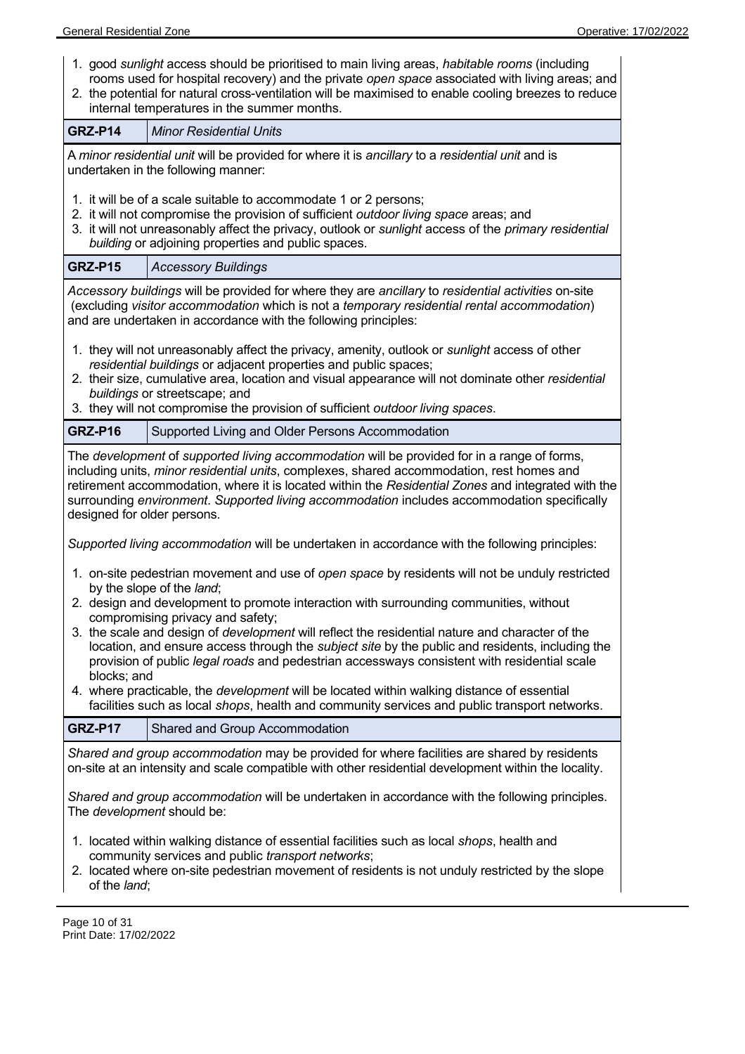| 1. good sunlight access should be prioritised to main living areas, habitable rooms (including<br>rooms used for hospital recovery) and the private open space associated with living areas; and<br>2. the potential for natural cross-ventilation will be maximised to enable cooling breezes to reduce<br>internal temperatures in the summer months.                                                                                                                                                                                                                                                                                                                                                                                                                                    |                                                                                                                                                                                                                                                                                                                                                                                            |  |  |
|--------------------------------------------------------------------------------------------------------------------------------------------------------------------------------------------------------------------------------------------------------------------------------------------------------------------------------------------------------------------------------------------------------------------------------------------------------------------------------------------------------------------------------------------------------------------------------------------------------------------------------------------------------------------------------------------------------------------------------------------------------------------------------------------|--------------------------------------------------------------------------------------------------------------------------------------------------------------------------------------------------------------------------------------------------------------------------------------------------------------------------------------------------------------------------------------------|--|--|
| GRZ-P14                                                                                                                                                                                                                                                                                                                                                                                                                                                                                                                                                                                                                                                                                                                                                                                    | <b>Minor Residential Units</b>                                                                                                                                                                                                                                                                                                                                                             |  |  |
| A minor residential unit will be provided for where it is ancillary to a residential unit and is<br>undertaken in the following manner:<br>1. it will be of a scale suitable to accommodate 1 or 2 persons;<br>2. it will not compromise the provision of sufficient outdoor living space areas; and<br>3. it will not unreasonably affect the privacy, outlook or sunlight access of the primary residential                                                                                                                                                                                                                                                                                                                                                                              |                                                                                                                                                                                                                                                                                                                                                                                            |  |  |
|                                                                                                                                                                                                                                                                                                                                                                                                                                                                                                                                                                                                                                                                                                                                                                                            | building or adjoining properties and public spaces.                                                                                                                                                                                                                                                                                                                                        |  |  |
| GRZ-P15                                                                                                                                                                                                                                                                                                                                                                                                                                                                                                                                                                                                                                                                                                                                                                                    | <b>Accessory Buildings</b>                                                                                                                                                                                                                                                                                                                                                                 |  |  |
|                                                                                                                                                                                                                                                                                                                                                                                                                                                                                                                                                                                                                                                                                                                                                                                            | Accessory buildings will be provided for where they are ancillary to residential activities on-site<br>(excluding visitor accommodation which is not a temporary residential rental accommodation)<br>and are undertaken in accordance with the following principles:                                                                                                                      |  |  |
|                                                                                                                                                                                                                                                                                                                                                                                                                                                                                                                                                                                                                                                                                                                                                                                            | 1. they will not unreasonably affect the privacy, amenity, outlook or sunlight access of other<br>residential buildings or adjacent properties and public spaces;<br>2. their size, cumulative area, location and visual appearance will not dominate other residential<br>buildings or streetscape; and<br>3. they will not compromise the provision of sufficient outdoor living spaces. |  |  |
| GRZ-P16                                                                                                                                                                                                                                                                                                                                                                                                                                                                                                                                                                                                                                                                                                                                                                                    | Supported Living and Older Persons Accommodation                                                                                                                                                                                                                                                                                                                                           |  |  |
| The development of supported living accommodation will be provided for in a range of forms,<br>including units, minor residential units, complexes, shared accommodation, rest homes and<br>retirement accommodation, where it is located within the Residential Zones and integrated with the<br>surrounding environment. Supported living accommodation includes accommodation specifically<br>designed for older persons.                                                                                                                                                                                                                                                                                                                                                               |                                                                                                                                                                                                                                                                                                                                                                                            |  |  |
|                                                                                                                                                                                                                                                                                                                                                                                                                                                                                                                                                                                                                                                                                                                                                                                            | Supported living accommodation will be undertaken in accordance with the following principles:                                                                                                                                                                                                                                                                                             |  |  |
| 1. on-site pedestrian movement and use of open space by residents will not be unduly restricted<br>by the slope of the land;<br>2. design and development to promote interaction with surrounding communities, without<br>compromising privacy and safety;<br>3. the scale and design of development will reflect the residential nature and character of the<br>location, and ensure access through the <i>subject site</i> by the public and residents, including the<br>provision of public legal roads and pedestrian accessways consistent with residential scale<br>blocks; and<br>4. where practicable, the <i>development</i> will be located within walking distance of essential<br>facilities such as local shops, health and community services and public transport networks. |                                                                                                                                                                                                                                                                                                                                                                                            |  |  |
| GRZ-P17                                                                                                                                                                                                                                                                                                                                                                                                                                                                                                                                                                                                                                                                                                                                                                                    | Shared and Group Accommodation                                                                                                                                                                                                                                                                                                                                                             |  |  |
| Shared and group accommodation may be provided for where facilities are shared by residents<br>on-site at an intensity and scale compatible with other residential development within the locality.<br>Shared and group accommodation will be undertaken in accordance with the following principles.<br>The <i>development</i> should be:                                                                                                                                                                                                                                                                                                                                                                                                                                                 |                                                                                                                                                                                                                                                                                                                                                                                            |  |  |
| 1. located within walking distance of essential facilities such as local shops, health and<br>community services and public transport networks;                                                                                                                                                                                                                                                                                                                                                                                                                                                                                                                                                                                                                                            |                                                                                                                                                                                                                                                                                                                                                                                            |  |  |

2. located where on-site pedestrian movement of residents is not unduly restricted by the slope of the *land*;

Page 10 of 31 Print Date: 17/02/2022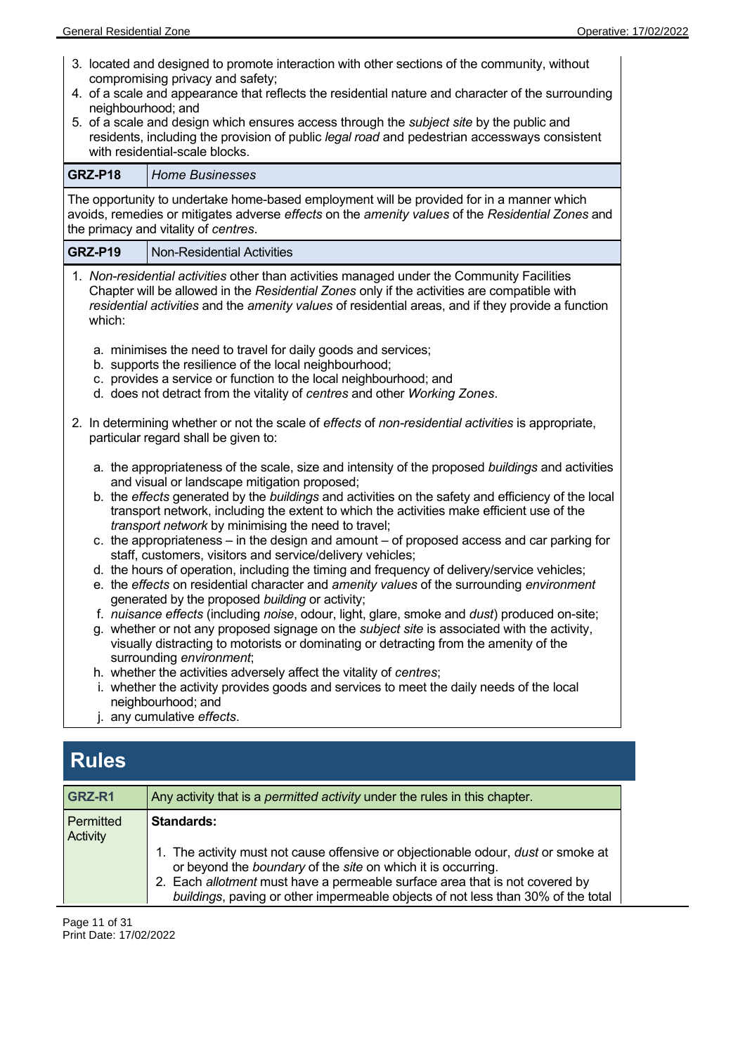| 3. located and designed to promote interaction with other sections of the community, without<br>compromising privacy and safety;<br>4. of a scale and appearance that reflects the residential nature and character of the surrounding<br>neighbourhood; and<br>5. of a scale and design which ensures access through the <i>subject site</i> by the public and<br>residents, including the provision of public legal road and pedestrian accessways consistent<br>with residential-scale blocks.<br><b>GRZ-P18</b><br><b>Home Businesses</b> |                                                                                                                                                                                                                                                                                                 |  |  |
|-----------------------------------------------------------------------------------------------------------------------------------------------------------------------------------------------------------------------------------------------------------------------------------------------------------------------------------------------------------------------------------------------------------------------------------------------------------------------------------------------------------------------------------------------|-------------------------------------------------------------------------------------------------------------------------------------------------------------------------------------------------------------------------------------------------------------------------------------------------|--|--|
|                                                                                                                                                                                                                                                                                                                                                                                                                                                                                                                                               |                                                                                                                                                                                                                                                                                                 |  |  |
|                                                                                                                                                                                                                                                                                                                                                                                                                                                                                                                                               | The opportunity to undertake home-based employment will be provided for in a manner which<br>avoids, remedies or mitigates adverse effects on the amenity values of the Residential Zones and<br>the primacy and vitality of centres.                                                           |  |  |
| <b>GRZ-P19</b>                                                                                                                                                                                                                                                                                                                                                                                                                                                                                                                                | <b>Non-Residential Activities</b>                                                                                                                                                                                                                                                               |  |  |
| which:                                                                                                                                                                                                                                                                                                                                                                                                                                                                                                                                        | 1. Non-residential activities other than activities managed under the Community Facilities<br>Chapter will be allowed in the Residential Zones only if the activities are compatible with<br>residential activities and the amenity values of residential areas, and if they provide a function |  |  |
| a. minimises the need to travel for daily goods and services;<br>b. supports the resilience of the local neighbourhood;<br>c. provides a service or function to the local neighbourhood; and<br>d. does not detract from the vitality of centres and other Working Zones.                                                                                                                                                                                                                                                                     |                                                                                                                                                                                                                                                                                                 |  |  |
| 2. In determining whether or not the scale of effects of non-residential activities is appropriate,<br>particular regard shall be given to:                                                                                                                                                                                                                                                                                                                                                                                                   |                                                                                                                                                                                                                                                                                                 |  |  |
|                                                                                                                                                                                                                                                                                                                                                                                                                                                                                                                                               | a. the appropriateness of the scale, size and intensity of the proposed buildings and activities<br>and visual or landscape mitigation proposed;                                                                                                                                                |  |  |
| b. the effects generated by the buildings and activities on the safety and efficiency of the local<br>transport network, including the extent to which the activities make efficient use of the<br>transport network by minimising the need to travel;                                                                                                                                                                                                                                                                                        |                                                                                                                                                                                                                                                                                                 |  |  |
|                                                                                                                                                                                                                                                                                                                                                                                                                                                                                                                                               | c. the appropriateness – in the design and amount – of proposed access and car parking for<br>staff, customers, visitors and service/delivery vehicles;                                                                                                                                         |  |  |
|                                                                                                                                                                                                                                                                                                                                                                                                                                                                                                                                               | d. the hours of operation, including the timing and frequency of delivery/service vehicles;<br>e. the effects on residential character and amenity values of the surrounding environment                                                                                                        |  |  |
|                                                                                                                                                                                                                                                                                                                                                                                                                                                                                                                                               | generated by the proposed building or activity;                                                                                                                                                                                                                                                 |  |  |
|                                                                                                                                                                                                                                                                                                                                                                                                                                                                                                                                               | f. nuisance effects (including noise, odour, light, glare, smoke and dust) produced on-site;                                                                                                                                                                                                    |  |  |
| g. whether or not any proposed signage on the subject site is associated with the activity,<br>visually distracting to motorists or dominating or detracting from the amenity of the<br>surrounding environment;                                                                                                                                                                                                                                                                                                                              |                                                                                                                                                                                                                                                                                                 |  |  |
|                                                                                                                                                                                                                                                                                                                                                                                                                                                                                                                                               | h. whether the activities adversely affect the vitality of centres;                                                                                                                                                                                                                             |  |  |
|                                                                                                                                                                                                                                                                                                                                                                                                                                                                                                                                               | i. whether the activity provides goods and services to meet the daily needs of the local<br>neighbourhood; and                                                                                                                                                                                  |  |  |
| j. any cumulative effects.                                                                                                                                                                                                                                                                                                                                                                                                                                                                                                                    |                                                                                                                                                                                                                                                                                                 |  |  |
|                                                                                                                                                                                                                                                                                                                                                                                                                                                                                                                                               |                                                                                                                                                                                                                                                                                                 |  |  |

# **Rules**

| GRZ-R1                | Any activity that is a <i>permitted activity</i> under the rules in this chapter.                                                                                                                                                                                                                                           |  |
|-----------------------|-----------------------------------------------------------------------------------------------------------------------------------------------------------------------------------------------------------------------------------------------------------------------------------------------------------------------------|--|
| Permitted<br>Activity | <b>Standards:</b>                                                                                                                                                                                                                                                                                                           |  |
|                       | 1. The activity must not cause offensive or objectionable odour, <i>dust</i> or smoke at<br>or beyond the boundary of the site on which it is occurring.<br>2. Each allotment must have a permeable surface area that is not covered by<br>buildings, paving or other impermeable objects of not less than 30% of the total |  |

Page 11 of 31 Print Date: 17/02/2022

 $\overline{a}$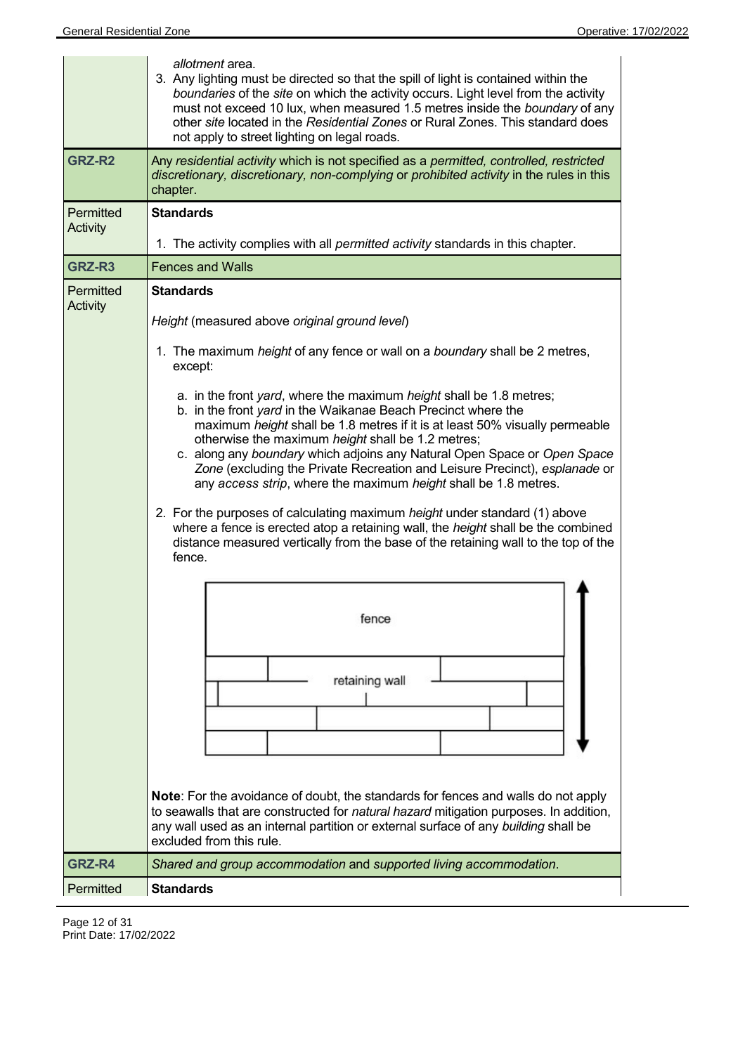|                  | allotment area.<br>3. Any lighting must be directed so that the spill of light is contained within the<br>boundaries of the site on which the activity occurs. Light level from the activity<br>must not exceed 10 lux, when measured 1.5 metres inside the boundary of any<br>other site located in the Residential Zones or Rural Zones. This standard does<br>not apply to street lighting on legal roads.                                                                                                                                                                                                                                                                                                                                                           |  |  |
|------------------|-------------------------------------------------------------------------------------------------------------------------------------------------------------------------------------------------------------------------------------------------------------------------------------------------------------------------------------------------------------------------------------------------------------------------------------------------------------------------------------------------------------------------------------------------------------------------------------------------------------------------------------------------------------------------------------------------------------------------------------------------------------------------|--|--|
| GRZ-R2           | Any residential activity which is not specified as a permitted, controlled, restricted<br>discretionary, discretionary, non-complying or prohibited activity in the rules in this<br>chapter.                                                                                                                                                                                                                                                                                                                                                                                                                                                                                                                                                                           |  |  |
| <b>Permitted</b> | <b>Standards</b>                                                                                                                                                                                                                                                                                                                                                                                                                                                                                                                                                                                                                                                                                                                                                        |  |  |
| <b>Activity</b>  | 1. The activity complies with all permitted activity standards in this chapter.                                                                                                                                                                                                                                                                                                                                                                                                                                                                                                                                                                                                                                                                                         |  |  |
| GRZ-R3           | <b>Fences and Walls</b>                                                                                                                                                                                                                                                                                                                                                                                                                                                                                                                                                                                                                                                                                                                                                 |  |  |
| Permitted        | <b>Standards</b>                                                                                                                                                                                                                                                                                                                                                                                                                                                                                                                                                                                                                                                                                                                                                        |  |  |
| <b>Activity</b>  | Height (measured above original ground level)                                                                                                                                                                                                                                                                                                                                                                                                                                                                                                                                                                                                                                                                                                                           |  |  |
|                  | 1. The maximum height of any fence or wall on a boundary shall be 2 metres,<br>except:                                                                                                                                                                                                                                                                                                                                                                                                                                                                                                                                                                                                                                                                                  |  |  |
|                  | a. in the front yard, where the maximum height shall be 1.8 metres;<br>b. in the front yard in the Waikanae Beach Precinct where the<br>maximum height shall be 1.8 metres if it is at least 50% visually permeable<br>otherwise the maximum height shall be 1.2 metres;<br>c. along any boundary which adjoins any Natural Open Space or Open Space<br>Zone (excluding the Private Recreation and Leisure Precinct), esplanade or<br>any access strip, where the maximum height shall be 1.8 metres.<br>2. For the purposes of calculating maximum height under standard (1) above<br>where a fence is erected atop a retaining wall, the height shall be the combined<br>distance measured vertically from the base of the retaining wall to the top of the<br>fence. |  |  |
|                  | fence<br>retaining wall                                                                                                                                                                                                                                                                                                                                                                                                                                                                                                                                                                                                                                                                                                                                                 |  |  |
|                  | <b>Note:</b> For the avoidance of doubt, the standards for fences and walls do not apply<br>to seawalls that are constructed for natural hazard mitigation purposes. In addition,<br>any wall used as an internal partition or external surface of any building shall be<br>excluded from this rule.                                                                                                                                                                                                                                                                                                                                                                                                                                                                    |  |  |
| GRZ-R4           | Shared and group accommodation and supported living accommodation.                                                                                                                                                                                                                                                                                                                                                                                                                                                                                                                                                                                                                                                                                                      |  |  |
| Permitted        | <b>Standards</b>                                                                                                                                                                                                                                                                                                                                                                                                                                                                                                                                                                                                                                                                                                                                                        |  |  |

Page 12 of 31 Print Date: 17/02/2022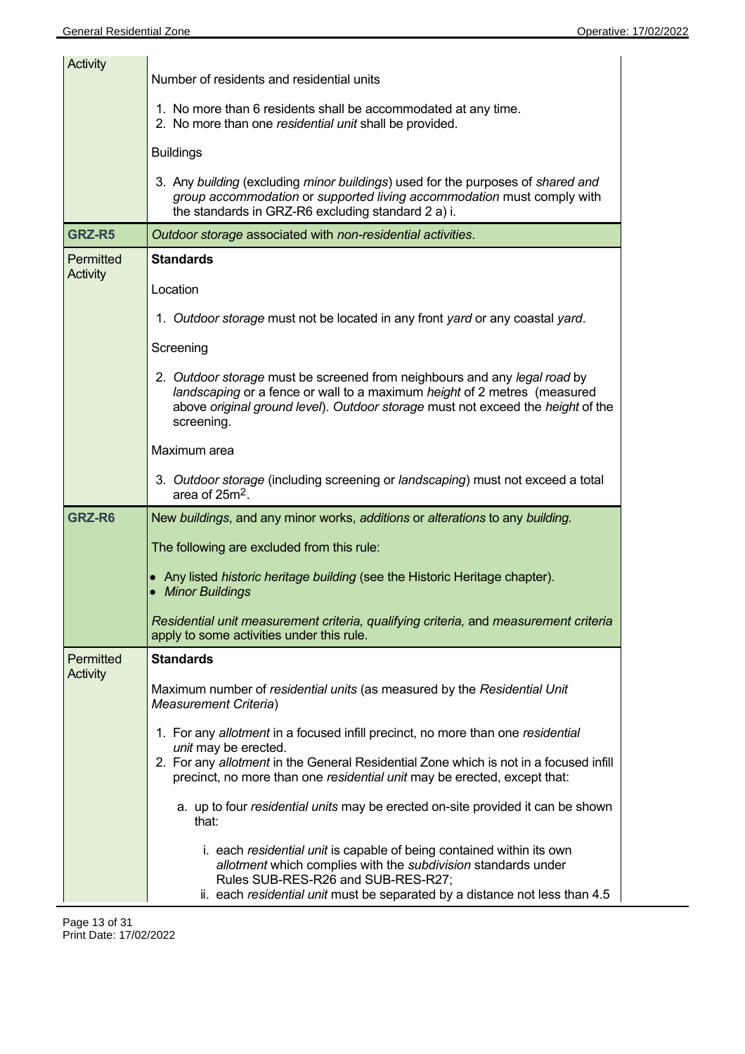| <b>Activity</b>              |                                                                                                                                                                                                                                                                              |  |  |
|------------------------------|------------------------------------------------------------------------------------------------------------------------------------------------------------------------------------------------------------------------------------------------------------------------------|--|--|
|                              | Number of residents and residential units                                                                                                                                                                                                                                    |  |  |
|                              | 1. No more than 6 residents shall be accommodated at any time.<br>2. No more than one residential unit shall be provided.                                                                                                                                                    |  |  |
|                              | <b>Buildings</b>                                                                                                                                                                                                                                                             |  |  |
|                              | 3. Any building (excluding minor buildings) used for the purposes of shared and<br>group accommodation or supported living accommodation must comply with<br>the standards in GRZ-R6 excluding standard 2 a) i.                                                              |  |  |
| GRZ-R5                       | Outdoor storage associated with non-residential activities.                                                                                                                                                                                                                  |  |  |
| Permitted<br>Activity        | <b>Standards</b>                                                                                                                                                                                                                                                             |  |  |
|                              | Location                                                                                                                                                                                                                                                                     |  |  |
|                              | 1. Outdoor storage must not be located in any front yard or any coastal yard.                                                                                                                                                                                                |  |  |
|                              | Screening                                                                                                                                                                                                                                                                    |  |  |
|                              | 2. Outdoor storage must be screened from neighbours and any legal road by<br>landscaping or a fence or wall to a maximum height of 2 metres (measured<br>above original ground level). Outdoor storage must not exceed the height of the<br>screening.                       |  |  |
|                              | Maximum area                                                                                                                                                                                                                                                                 |  |  |
|                              | 3. Outdoor storage (including screening or landscaping) must not exceed a total<br>area of 25m <sup>2</sup> .                                                                                                                                                                |  |  |
| GRZ-R6                       | New buildings, and any minor works, additions or alterations to any building.                                                                                                                                                                                                |  |  |
|                              | The following are excluded from this rule:                                                                                                                                                                                                                                   |  |  |
|                              | • Any listed historic heritage building (see the Historic Heritage chapter).<br>• Minor Buildings                                                                                                                                                                            |  |  |
|                              | Residential unit measurement criteria, qualifying criteria, and measurement criteria<br>apply to some activities under this rule.                                                                                                                                            |  |  |
| Permitted<br><b>Activity</b> | <b>Standards</b>                                                                                                                                                                                                                                                             |  |  |
|                              | Maximum number of residential units (as measured by the Residential Unit<br>Measurement Criteria)                                                                                                                                                                            |  |  |
|                              | 1. For any allotment in a focused infill precinct, no more than one residential<br>unit may be erected.<br>2. For any allotment in the General Residential Zone which is not in a focused infill<br>precinct, no more than one residential unit may be erected, except that: |  |  |
|                              | a. up to four residential units may be erected on-site provided it can be shown<br>that:                                                                                                                                                                                     |  |  |
|                              | i. each residential unit is capable of being contained within its own<br>allotment which complies with the subdivision standards under<br>Rules SUB-RES-R26 and SUB-RES-R27;<br>ii. each residential unit must be separated by a distance not less than 4.5                  |  |  |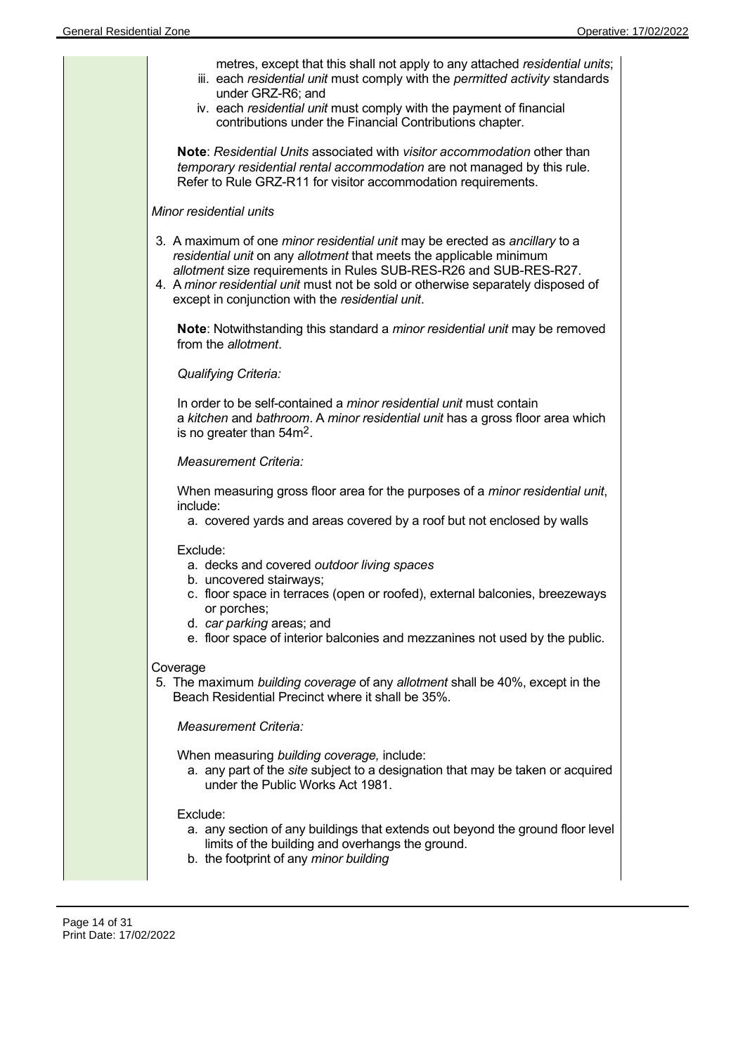

Page 14 of 31 Print Date: 17/02/2022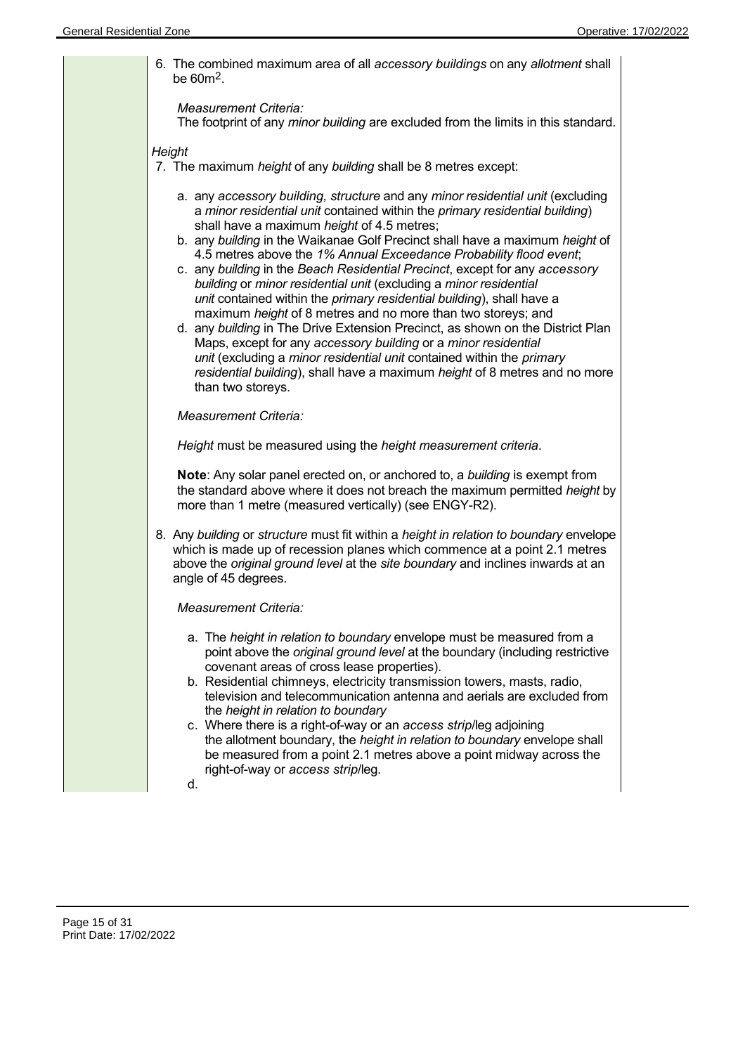| 6. The combined maximum area of all accessory buildings on any allotment shall<br>be $60m^2$ .                                                                                                                                                                                                                                                                                                                                                                                                                                                                                                                                                                                                                                                                                                                                                                                                                                                                                                 |
|------------------------------------------------------------------------------------------------------------------------------------------------------------------------------------------------------------------------------------------------------------------------------------------------------------------------------------------------------------------------------------------------------------------------------------------------------------------------------------------------------------------------------------------------------------------------------------------------------------------------------------------------------------------------------------------------------------------------------------------------------------------------------------------------------------------------------------------------------------------------------------------------------------------------------------------------------------------------------------------------|
| Measurement Criteria:<br>The footprint of any minor building are excluded from the limits in this standard.                                                                                                                                                                                                                                                                                                                                                                                                                                                                                                                                                                                                                                                                                                                                                                                                                                                                                    |
| Height<br>7. The maximum height of any building shall be 8 metres except:                                                                                                                                                                                                                                                                                                                                                                                                                                                                                                                                                                                                                                                                                                                                                                                                                                                                                                                      |
| a. any accessory building, structure and any minor residential unit (excluding<br>a minor residential unit contained within the primary residential building)<br>shall have a maximum height of 4.5 metres;<br>b. any building in the Waikanae Golf Precinct shall have a maximum height of<br>4.5 metres above the 1% Annual Exceedance Probability flood event;<br>c. any building in the Beach Residential Precinct, except for any accessory<br>building or minor residential unit (excluding a minor residential<br>unit contained within the primary residential building), shall have a<br>maximum height of 8 metres and no more than two storeys; and<br>d. any building in The Drive Extension Precinct, as shown on the District Plan<br>Maps, except for any accessory building or a minor residential<br>unit (excluding a minor residential unit contained within the primary<br>residential building), shall have a maximum height of 8 metres and no more<br>than two storeys. |
| <b>Measurement Criteria:</b>                                                                                                                                                                                                                                                                                                                                                                                                                                                                                                                                                                                                                                                                                                                                                                                                                                                                                                                                                                   |
| Height must be measured using the height measurement criteria.                                                                                                                                                                                                                                                                                                                                                                                                                                                                                                                                                                                                                                                                                                                                                                                                                                                                                                                                 |
| Note: Any solar panel erected on, or anchored to, a building is exempt from<br>the standard above where it does not breach the maximum permitted height by<br>more than 1 metre (measured vertically) (see ENGY-R2).                                                                                                                                                                                                                                                                                                                                                                                                                                                                                                                                                                                                                                                                                                                                                                           |
| 8. Any building or structure must fit within a height in relation to boundary envelope<br>which is made up of recession planes which commence at a point 2.1 metres<br>above the original ground level at the site boundary and inclines inwards at an<br>angle of 45 degrees.                                                                                                                                                                                                                                                                                                                                                                                                                                                                                                                                                                                                                                                                                                                 |
| Measurement Criteria:                                                                                                                                                                                                                                                                                                                                                                                                                                                                                                                                                                                                                                                                                                                                                                                                                                                                                                                                                                          |
| a. The height in relation to boundary envelope must be measured from a<br>point above the original ground level at the boundary (including restrictive<br>covenant areas of cross lease properties).<br>b. Residential chimneys, electricity transmission towers, masts, radio,<br>television and telecommunication antenna and aerials are excluded from<br>the height in relation to boundary<br>c. Where there is a right-of-way or an access strip/leg adjoining<br>the allotment boundary, the height in relation to boundary envelope shall<br>be measured from a point 2.1 metres above a point midway across the<br>right-of-way or access strip/leg.<br>d.                                                                                                                                                                                                                                                                                                                            |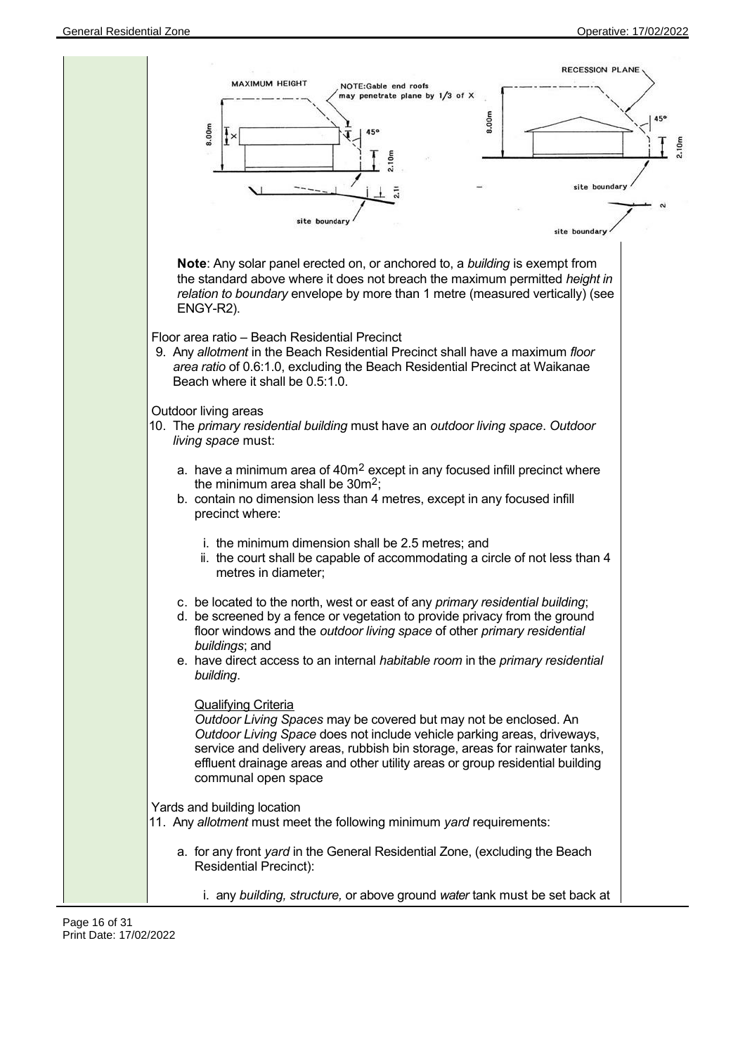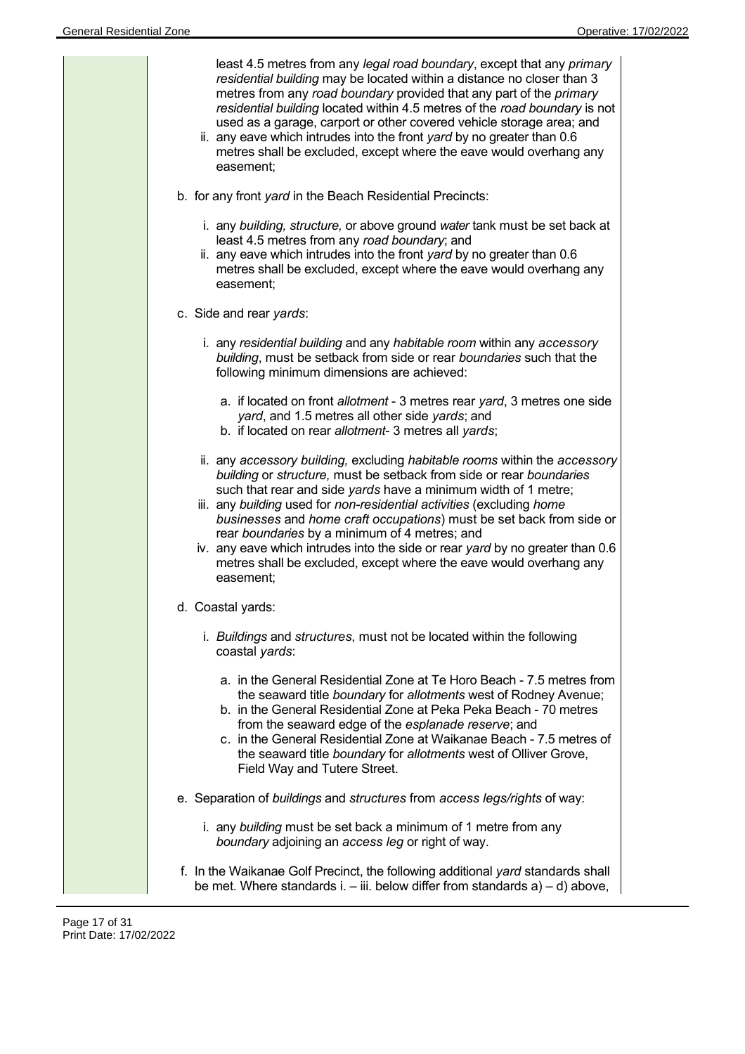| easement;<br>b. for any front yard in the Beach Residential Precincts: | least 4.5 metres from any legal road boundary, except that any primary<br>residential building may be located within a distance no closer than 3<br>metres from any road boundary provided that any part of the primary<br>residential building located within 4.5 metres of the road boundary is not<br>used as a garage, carport or other covered vehicle storage area; and<br>ii. any eave which intrudes into the front yard by no greater than 0.6<br>metres shall be excluded, except where the eave would overhang any                                                |
|------------------------------------------------------------------------|------------------------------------------------------------------------------------------------------------------------------------------------------------------------------------------------------------------------------------------------------------------------------------------------------------------------------------------------------------------------------------------------------------------------------------------------------------------------------------------------------------------------------------------------------------------------------|
| easement;                                                              | i. any building, structure, or above ground water tank must be set back at<br>least 4.5 metres from any road boundary; and<br>ii. any eave which intrudes into the front yard by no greater than 0.6<br>metres shall be excluded, except where the eave would overhang any                                                                                                                                                                                                                                                                                                   |
| c. Side and rear yards:                                                |                                                                                                                                                                                                                                                                                                                                                                                                                                                                                                                                                                              |
|                                                                        | i. any residential building and any habitable room within any accessory<br>building, must be setback from side or rear boundaries such that the<br>following minimum dimensions are achieved:                                                                                                                                                                                                                                                                                                                                                                                |
|                                                                        | a. if located on front allotment - 3 metres rear yard, 3 metres one side<br>yard, and 1.5 metres all other side yards; and<br>b. if located on rear allotment- 3 metres all yards;                                                                                                                                                                                                                                                                                                                                                                                           |
| easement;                                                              | ii. any accessory building, excluding habitable rooms within the accessory<br>building or structure, must be setback from side or rear boundaries<br>such that rear and side yards have a minimum width of 1 metre;<br>iii. any building used for non-residential activities (excluding home<br>businesses and home craft occupations) must be set back from side or<br>rear boundaries by a minimum of 4 metres; and<br>iv. any eave which intrudes into the side or rear yard by no greater than 0.6<br>metres shall be excluded, except where the eave would overhang any |
| d. Coastal yards:                                                      |                                                                                                                                                                                                                                                                                                                                                                                                                                                                                                                                                                              |
| coastal yards:                                                         | i. Buildings and structures, must not be located within the following                                                                                                                                                                                                                                                                                                                                                                                                                                                                                                        |
| Field Way and Tutere Street.                                           | a. in the General Residential Zone at Te Horo Beach - 7.5 metres from<br>the seaward title boundary for allotments west of Rodney Avenue;<br>b. in the General Residential Zone at Peka Peka Beach - 70 metres<br>from the seaward edge of the esplanade reserve; and<br>c. in the General Residential Zone at Waikanae Beach - 7.5 metres of<br>the seaward title boundary for allotments west of Olliver Grove,                                                                                                                                                            |
|                                                                        | e. Separation of buildings and structures from access legs/rights of way:                                                                                                                                                                                                                                                                                                                                                                                                                                                                                                    |
|                                                                        | i. any building must be set back a minimum of 1 metre from any<br>boundary adjoining an access leg or right of way.                                                                                                                                                                                                                                                                                                                                                                                                                                                          |
|                                                                        | f. In the Waikanae Golf Precinct, the following additional yard standards shall<br>be met. Where standards i. $-$ iii. below differ from standards $a$ ) $-$ d) above,                                                                                                                                                                                                                                                                                                                                                                                                       |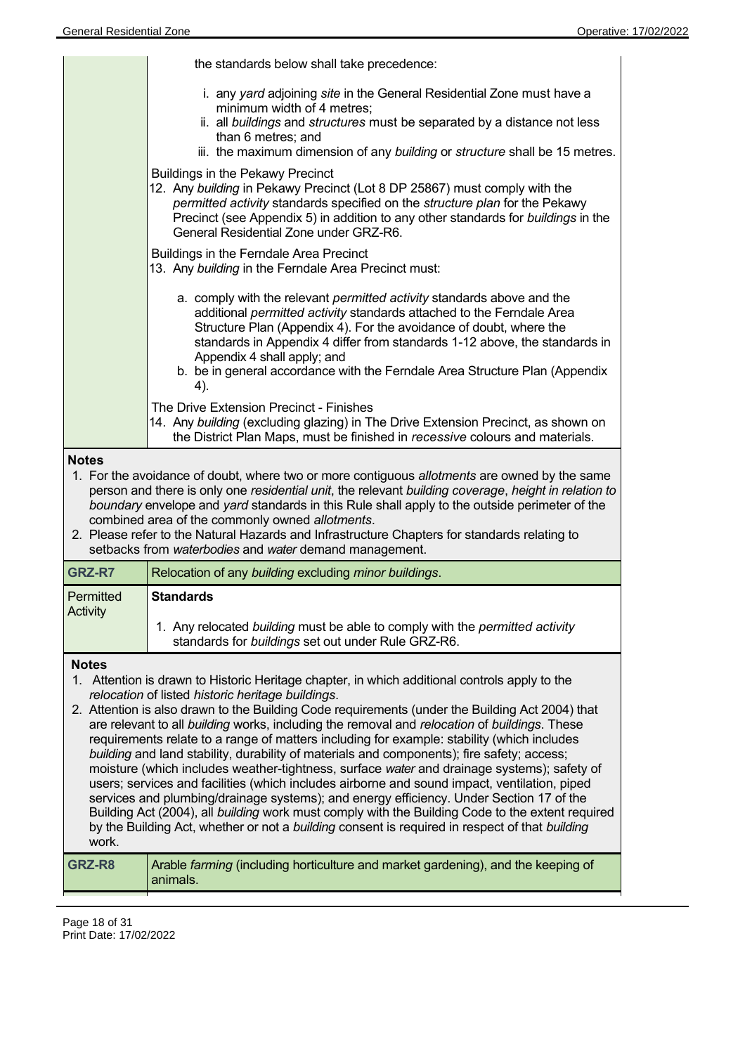| <b>General Residential Zone</b> |                                                                                                                                                                                                                                                                                                                                                                                                                                                                                                                                                                                                                                                                                                                                                                                                                                                                                                                                                                                                                                                  | Operative: 17/02/2022 |
|---------------------------------|--------------------------------------------------------------------------------------------------------------------------------------------------------------------------------------------------------------------------------------------------------------------------------------------------------------------------------------------------------------------------------------------------------------------------------------------------------------------------------------------------------------------------------------------------------------------------------------------------------------------------------------------------------------------------------------------------------------------------------------------------------------------------------------------------------------------------------------------------------------------------------------------------------------------------------------------------------------------------------------------------------------------------------------------------|-----------------------|
|                                 | the standards below shall take precedence:                                                                                                                                                                                                                                                                                                                                                                                                                                                                                                                                                                                                                                                                                                                                                                                                                                                                                                                                                                                                       |                       |
|                                 | i. any yard adjoining site in the General Residential Zone must have a<br>minimum width of 4 metres;<br>ii. all buildings and structures must be separated by a distance not less<br>than 6 metres; and<br>iii. the maximum dimension of any building or structure shall be 15 metres.                                                                                                                                                                                                                                                                                                                                                                                                                                                                                                                                                                                                                                                                                                                                                           |                       |
|                                 | <b>Buildings in the Pekawy Precinct</b><br>12. Any building in Pekawy Precinct (Lot 8 DP 25867) must comply with the<br>permitted activity standards specified on the structure plan for the Pekawy<br>Precinct (see Appendix 5) in addition to any other standards for buildings in the<br>General Residential Zone under GRZ-R6.                                                                                                                                                                                                                                                                                                                                                                                                                                                                                                                                                                                                                                                                                                               |                       |
|                                 | Buildings in the Ferndale Area Precinct<br>13. Any building in the Ferndale Area Precinct must:                                                                                                                                                                                                                                                                                                                                                                                                                                                                                                                                                                                                                                                                                                                                                                                                                                                                                                                                                  |                       |
|                                 | a. comply with the relevant permitted activity standards above and the<br>additional permitted activity standards attached to the Ferndale Area<br>Structure Plan (Appendix 4). For the avoidance of doubt, where the<br>standards in Appendix 4 differ from standards 1-12 above, the standards in<br>Appendix 4 shall apply; and<br>b. be in general accordance with the Ferndale Area Structure Plan (Appendix<br>4).                                                                                                                                                                                                                                                                                                                                                                                                                                                                                                                                                                                                                         |                       |
|                                 | The Drive Extension Precinct - Finishes<br>14. Any building (excluding glazing) in The Drive Extension Precinct, as shown on<br>the District Plan Maps, must be finished in recessive colours and materials.                                                                                                                                                                                                                                                                                                                                                                                                                                                                                                                                                                                                                                                                                                                                                                                                                                     |                       |
| <b>Notes</b>                    | 1. For the avoidance of doubt, where two or more contiguous allotments are owned by the same<br>person and there is only one residential unit, the relevant building coverage, height in relation to<br>boundary envelope and yard standards in this Rule shall apply to the outside perimeter of the<br>combined area of the commonly owned allotments.<br>2. Please refer to the Natural Hazards and Infrastructure Chapters for standards relating to<br>setbacks from waterbodies and water demand management.                                                                                                                                                                                                                                                                                                                                                                                                                                                                                                                               |                       |
| GRZ-R7                          | Relocation of any building excluding minor buildings.                                                                                                                                                                                                                                                                                                                                                                                                                                                                                                                                                                                                                                                                                                                                                                                                                                                                                                                                                                                            |                       |
| Permitted<br><b>Activity</b>    | <b>Standards</b><br>1. Any relocated building must be able to comply with the permitted activity<br>standards for buildings set out under Rule GRZ-R6.                                                                                                                                                                                                                                                                                                                                                                                                                                                                                                                                                                                                                                                                                                                                                                                                                                                                                           |                       |
| <b>Notes</b><br>work.           | 1. Attention is drawn to Historic Heritage chapter, in which additional controls apply to the<br>relocation of listed historic heritage buildings.<br>2. Attention is also drawn to the Building Code requirements (under the Building Act 2004) that<br>are relevant to all building works, including the removal and relocation of buildings. These<br>requirements relate to a range of matters including for example: stability (which includes<br>building and land stability, durability of materials and components); fire safety; access;<br>moisture (which includes weather-tightness, surface water and drainage systems); safety of<br>users; services and facilities (which includes airborne and sound impact, ventilation, piped<br>services and plumbing/drainage systems); and energy efficiency. Under Section 17 of the<br>Building Act (2004), all building work must comply with the Building Code to the extent required<br>by the Building Act, whether or not a building consent is required in respect of that building |                       |
| GRZ-R8                          | Arable farming (including horticulture and market gardening), and the keeping of<br>animals.                                                                                                                                                                                                                                                                                                                                                                                                                                                                                                                                                                                                                                                                                                                                                                                                                                                                                                                                                     |                       |
|                                 |                                                                                                                                                                                                                                                                                                                                                                                                                                                                                                                                                                                                                                                                                                                                                                                                                                                                                                                                                                                                                                                  |                       |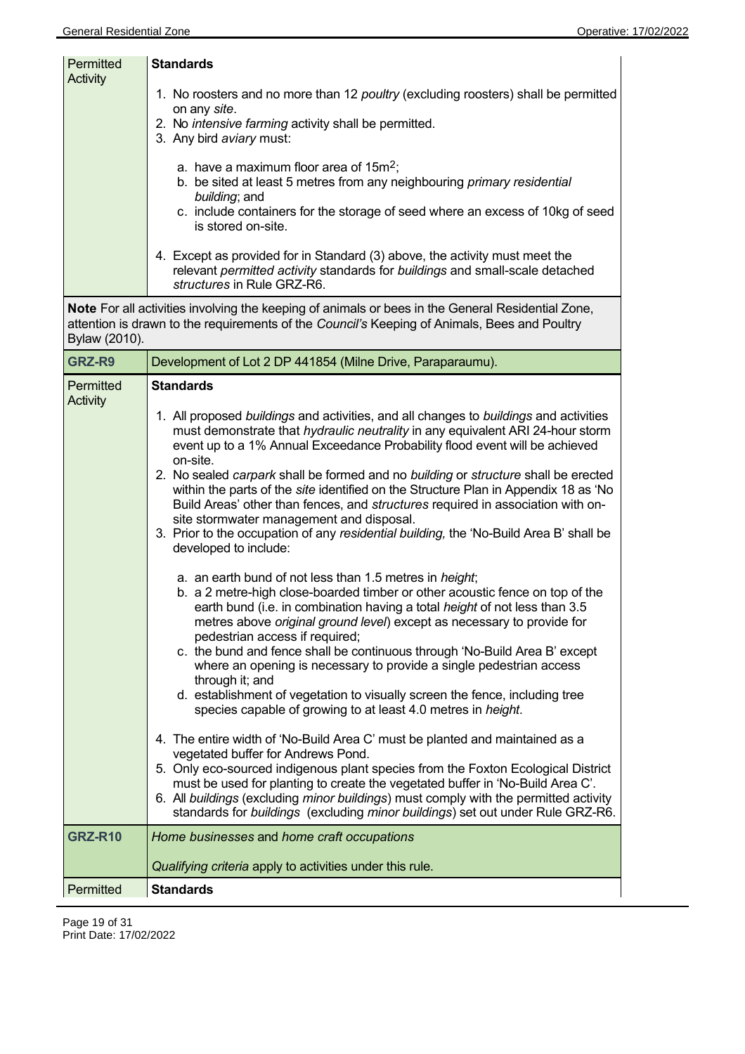| <b>Permitted</b><br><b>Activity</b> | <b>Standards</b>                                                                                                                                                                                                                                                                        |
|-------------------------------------|-----------------------------------------------------------------------------------------------------------------------------------------------------------------------------------------------------------------------------------------------------------------------------------------|
|                                     | 1. No roosters and no more than 12 <i>poultry</i> (excluding roosters) shall be permitted<br>on any site.<br>2. No intensive farming activity shall be permitted.                                                                                                                       |
|                                     | 3. Any bird aviary must:<br>a. have a maximum floor area of $15m^2$ ;<br>b. be sited at least 5 metres from any neighbouring <i>primary residential</i><br><i>building</i> ; and<br>c. include containers for the storage of seed where an excess of 10kg of seed<br>is stored on-site. |
|                                     | 4. Except as provided for in Standard (3) above, the activity must meet the<br>relevant permitted activity standards for buildings and small-scale detached<br>structures in Rule GRZ-R6.                                                                                               |

**Note** For all activities involving the keeping of animals or bees in the General Residential Zone, attention is drawn to the requirements of the *Council's* Keeping of Animals, Bees and Poultry Bylaw (2010).

| GRZ-R9                | Development of Lot 2 DP 441854 (Milne Drive, Paraparaumu).                                                                                                                                                                                                                                                                                                                                                                                                                                                                                                                                                                                                                                        |  |  |
|-----------------------|---------------------------------------------------------------------------------------------------------------------------------------------------------------------------------------------------------------------------------------------------------------------------------------------------------------------------------------------------------------------------------------------------------------------------------------------------------------------------------------------------------------------------------------------------------------------------------------------------------------------------------------------------------------------------------------------------|--|--|
| Permitted<br>Activity | <b>Standards</b>                                                                                                                                                                                                                                                                                                                                                                                                                                                                                                                                                                                                                                                                                  |  |  |
|                       | 1. All proposed buildings and activities, and all changes to buildings and activities<br>must demonstrate that hydraulic neutrality in any equivalent ARI 24-hour storm<br>event up to a 1% Annual Exceedance Probability flood event will be achieved<br>on-site.<br>2. No sealed carpark shall be formed and no building or structure shall be erected<br>within the parts of the site identified on the Structure Plan in Appendix 18 as 'No<br>Build Areas' other than fences, and structures required in association with on-<br>site stormwater management and disposal.<br>3. Prior to the occupation of any residential building, the 'No-Build Area B' shall be<br>developed to include: |  |  |
|                       | a. an earth bund of not less than 1.5 metres in <i>height</i> ;<br>b. a 2 metre-high close-boarded timber or other acoustic fence on top of the<br>earth bund (i.e. in combination having a total height of not less than 3.5<br>metres above original ground level) except as necessary to provide for<br>pedestrian access if required;<br>c. the bund and fence shall be continuous through 'No-Build Area B' except<br>where an opening is necessary to provide a single pedestrian access<br>through it; and<br>d. establishment of vegetation to visually screen the fence, including tree<br>species capable of growing to at least 4.0 metres in height.                                  |  |  |
|                       | 4. The entire width of 'No-Build Area C' must be planted and maintained as a<br>vegetated buffer for Andrews Pond.<br>5. Only eco-sourced indigenous plant species from the Foxton Ecological District<br>must be used for planting to create the vegetated buffer in 'No-Build Area C'.<br>6. All buildings (excluding minor buildings) must comply with the permitted activity<br>standards for buildings (excluding minor buildings) set out under Rule GRZ-R6.                                                                                                                                                                                                                                |  |  |
| <b>GRZ-R10</b>        | Home businesses and home craft occupations                                                                                                                                                                                                                                                                                                                                                                                                                                                                                                                                                                                                                                                        |  |  |
|                       | Qualifying criteria apply to activities under this rule.                                                                                                                                                                                                                                                                                                                                                                                                                                                                                                                                                                                                                                          |  |  |
| Permitted             | <b>Standards</b>                                                                                                                                                                                                                                                                                                                                                                                                                                                                                                                                                                                                                                                                                  |  |  |

Page 19 of 31 Print Date: 17/02/2022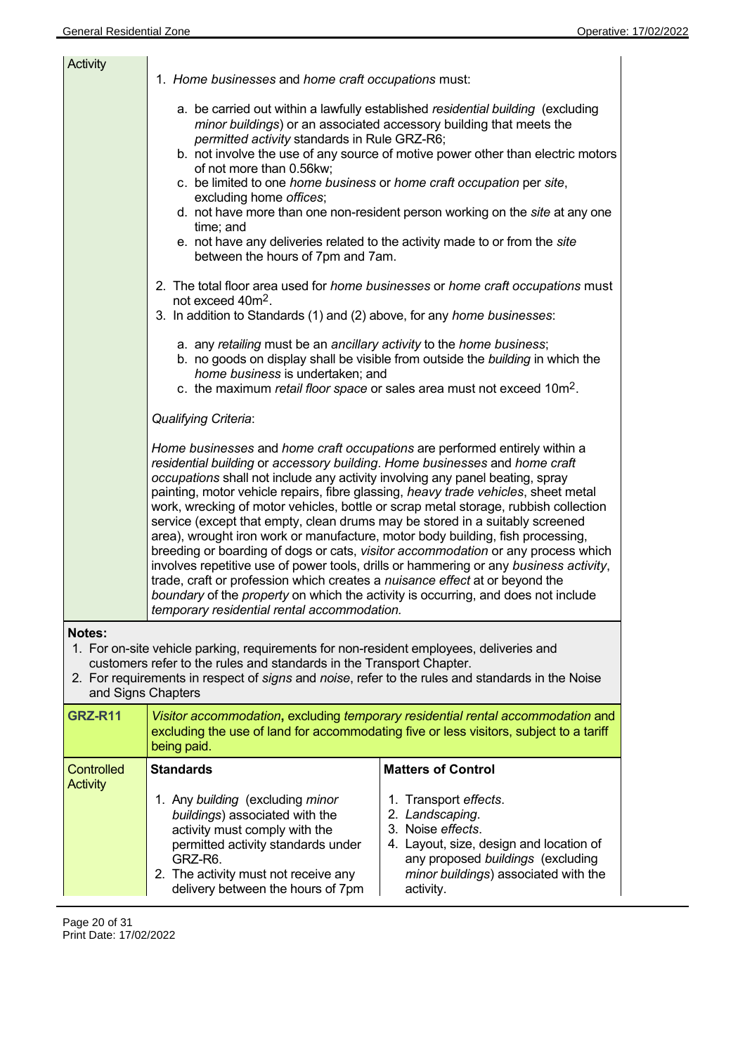| Activity                                                                                                                                                                                                                                                                                                   |                                                                                                                                                                                                                                                                                                                                                                                                                                                                                                                                                                                                                                                                                                                                                                                                                                                                                                                                                                                                                                                                          |                                                                                                                                                                                                    |  |
|------------------------------------------------------------------------------------------------------------------------------------------------------------------------------------------------------------------------------------------------------------------------------------------------------------|--------------------------------------------------------------------------------------------------------------------------------------------------------------------------------------------------------------------------------------------------------------------------------------------------------------------------------------------------------------------------------------------------------------------------------------------------------------------------------------------------------------------------------------------------------------------------------------------------------------------------------------------------------------------------------------------------------------------------------------------------------------------------------------------------------------------------------------------------------------------------------------------------------------------------------------------------------------------------------------------------------------------------------------------------------------------------|----------------------------------------------------------------------------------------------------------------------------------------------------------------------------------------------------|--|
|                                                                                                                                                                                                                                                                                                            | 1. Home businesses and home craft occupations must:<br>a. be carried out within a lawfully established residential building (excluding<br>minor buildings) or an associated accessory building that meets the<br>permitted activity standards in Rule GRZ-R6;<br>b. not involve the use of any source of motive power other than electric motors<br>of not more than 0.56kw;<br>c. be limited to one home business or home craft occupation per site,<br>excluding home offices;<br>d. not have more than one non-resident person working on the site at any one<br>time; and<br>e. not have any deliveries related to the activity made to or from the site<br>between the hours of 7pm and 7am.<br>2. The total floor area used for <i>home businesses</i> or <i>home craft occupations</i> must<br>not exceed 40m <sup>2</sup> .<br>3. In addition to Standards (1) and (2) above, for any home businesses:<br>a. any retailing must be an ancillary activity to the home business;<br>b. no goods on display shall be visible from outside the building in which the |                                                                                                                                                                                                    |  |
|                                                                                                                                                                                                                                                                                                            | home business is undertaken; and<br>c. the maximum retail floor space or sales area must not exceed 10m <sup>2</sup> .                                                                                                                                                                                                                                                                                                                                                                                                                                                                                                                                                                                                                                                                                                                                                                                                                                                                                                                                                   |                                                                                                                                                                                                    |  |
|                                                                                                                                                                                                                                                                                                            | Qualifying Criteria:                                                                                                                                                                                                                                                                                                                                                                                                                                                                                                                                                                                                                                                                                                                                                                                                                                                                                                                                                                                                                                                     |                                                                                                                                                                                                    |  |
|                                                                                                                                                                                                                                                                                                            | Home businesses and home craft occupations are performed entirely within a<br>residential building or accessory building. Home businesses and home craft<br>occupations shall not include any activity involving any panel beating, spray<br>painting, motor vehicle repairs, fibre glassing, heavy trade vehicles, sheet metal<br>work, wrecking of motor vehicles, bottle or scrap metal storage, rubbish collection<br>service (except that empty, clean drums may be stored in a suitably screened<br>area), wrought iron work or manufacture, motor body building, fish processing,<br>breeding or boarding of dogs or cats, visitor accommodation or any process which<br>involves repetitive use of power tools, drills or hammering or any business activity,<br>trade, craft or profession which creates a nuisance effect at or beyond the<br>boundary of the property on which the activity is occurring, and does not include<br>temporary residential rental accommodation.                                                                                 |                                                                                                                                                                                                    |  |
| <b>Notes:</b><br>1. For on-site vehicle parking, requirements for non-resident employees, deliveries and<br>customers refer to the rules and standards in the Transport Chapter.<br>2. For requirements in respect of signs and noise, refer to the rules and standards in the Noise<br>and Signs Chapters |                                                                                                                                                                                                                                                                                                                                                                                                                                                                                                                                                                                                                                                                                                                                                                                                                                                                                                                                                                                                                                                                          |                                                                                                                                                                                                    |  |
| <b>GRZ-R11</b>                                                                                                                                                                                                                                                                                             | Visitor accommodation, excluding temporary residential rental accommodation and<br>excluding the use of land for accommodating five or less visitors, subject to a tariff<br>being paid.                                                                                                                                                                                                                                                                                                                                                                                                                                                                                                                                                                                                                                                                                                                                                                                                                                                                                 |                                                                                                                                                                                                    |  |
| <b>Controlled</b><br><b>Activity</b>                                                                                                                                                                                                                                                                       | <b>Standards</b>                                                                                                                                                                                                                                                                                                                                                                                                                                                                                                                                                                                                                                                                                                                                                                                                                                                                                                                                                                                                                                                         | <b>Matters of Control</b>                                                                                                                                                                          |  |
|                                                                                                                                                                                                                                                                                                            | 1. Any building (excluding minor<br>buildings) associated with the<br>activity must comply with the<br>permitted activity standards under<br>GRZ-R6.<br>2. The activity must not receive any<br>delivery between the hours of 7pm                                                                                                                                                                                                                                                                                                                                                                                                                                                                                                                                                                                                                                                                                                                                                                                                                                        | 1. Transport effects.<br>2. Landscaping.<br>3. Noise effects.<br>4. Layout, size, design and location of<br>any proposed buildings (excluding<br>minor buildings) associated with the<br>activity. |  |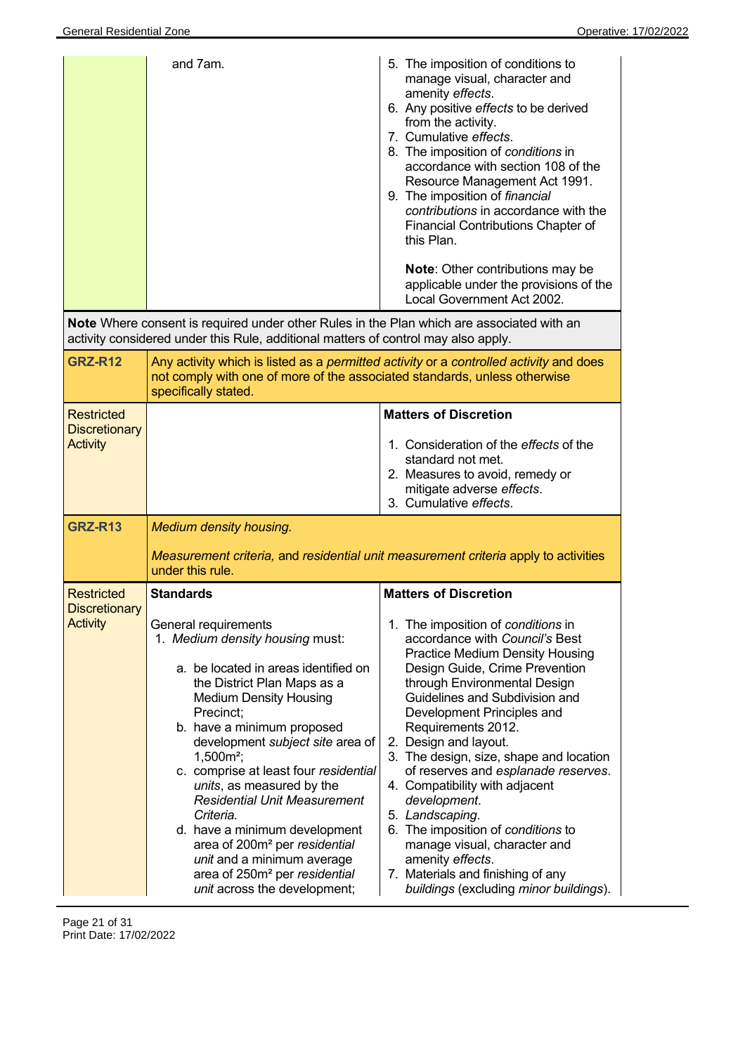|                                                                                | and 7am.<br><b>Note</b> Where consent is required under other Rules in the Plan which are associated with an<br>activity considered under this Rule, additional matters of control may also apply.                                                                                                                                                                                                                                                                                                                                                                                                                        | 5. The imposition of conditions to<br>manage visual, character and<br>amenity effects.<br>6. Any positive effects to be derived<br>from the activity.<br>7. Cumulative effects.<br>8. The imposition of conditions in<br>accordance with section 108 of the<br>Resource Management Act 1991.<br>9. The imposition of financial<br>contributions in accordance with the<br><b>Financial Contributions Chapter of</b><br>this Plan.<br><b>Note:</b> Other contributions may be<br>applicable under the provisions of the<br>Local Government Act 2002.                                                                                                            |
|--------------------------------------------------------------------------------|---------------------------------------------------------------------------------------------------------------------------------------------------------------------------------------------------------------------------------------------------------------------------------------------------------------------------------------------------------------------------------------------------------------------------------------------------------------------------------------------------------------------------------------------------------------------------------------------------------------------------|-----------------------------------------------------------------------------------------------------------------------------------------------------------------------------------------------------------------------------------------------------------------------------------------------------------------------------------------------------------------------------------------------------------------------------------------------------------------------------------------------------------------------------------------------------------------------------------------------------------------------------------------------------------------|
| <b>GRZ-R12</b>                                                                 | Any activity which is listed as a permitted activity or a controlled activity and does<br>not comply with one of more of the associated standards, unless otherwise<br>specifically stated.                                                                                                                                                                                                                                                                                                                                                                                                                               |                                                                                                                                                                                                                                                                                                                                                                                                                                                                                                                                                                                                                                                                 |
| <b>Restricted</b><br><b>Discretionary</b><br><b>Activity</b><br><b>GRZ-R13</b> | <b>Medium density housing.</b><br>Measurement criteria, and residential unit measurement criteria apply to activities                                                                                                                                                                                                                                                                                                                                                                                                                                                                                                     | <b>Matters of Discretion</b><br>1. Consideration of the effects of the<br>standard not met.<br>2. Measures to avoid, remedy or<br>mitigate adverse effects.<br>3. Cumulative effects.                                                                                                                                                                                                                                                                                                                                                                                                                                                                           |
| <b>Restricted</b><br><b>Discretionary</b><br><b>Activity</b>                   | under this rule.<br><b>Standards</b><br>General requirements<br>1. Medium density housing must:<br>a. be located in areas identified on<br>the District Plan Maps as a<br><b>Medium Density Housing</b><br>Precinct;<br>b. have a minimum proposed<br>development subject site area of<br>$1,500m^2$ ;<br>c. comprise at least four residential<br>units, as measured by the<br><b>Residential Unit Measurement</b><br>Criteria.<br>d. have a minimum development<br>area of 200m <sup>2</sup> per residential<br>unit and a minimum average<br>area of 250m <sup>2</sup> per residential<br>unit across the development; | <b>Matters of Discretion</b><br>1. The imposition of conditions in<br>accordance with Council's Best<br><b>Practice Medium Density Housing</b><br>Design Guide, Crime Prevention<br>through Environmental Design<br>Guidelines and Subdivision and<br>Development Principles and<br>Requirements 2012.<br>2. Design and layout.<br>3. The design, size, shape and location<br>of reserves and esplanade reserves.<br>4. Compatibility with adjacent<br>development.<br>5. Landscaping.<br>6. The imposition of conditions to<br>manage visual, character and<br>amenity effects.<br>7. Materials and finishing of any<br>buildings (excluding minor buildings). |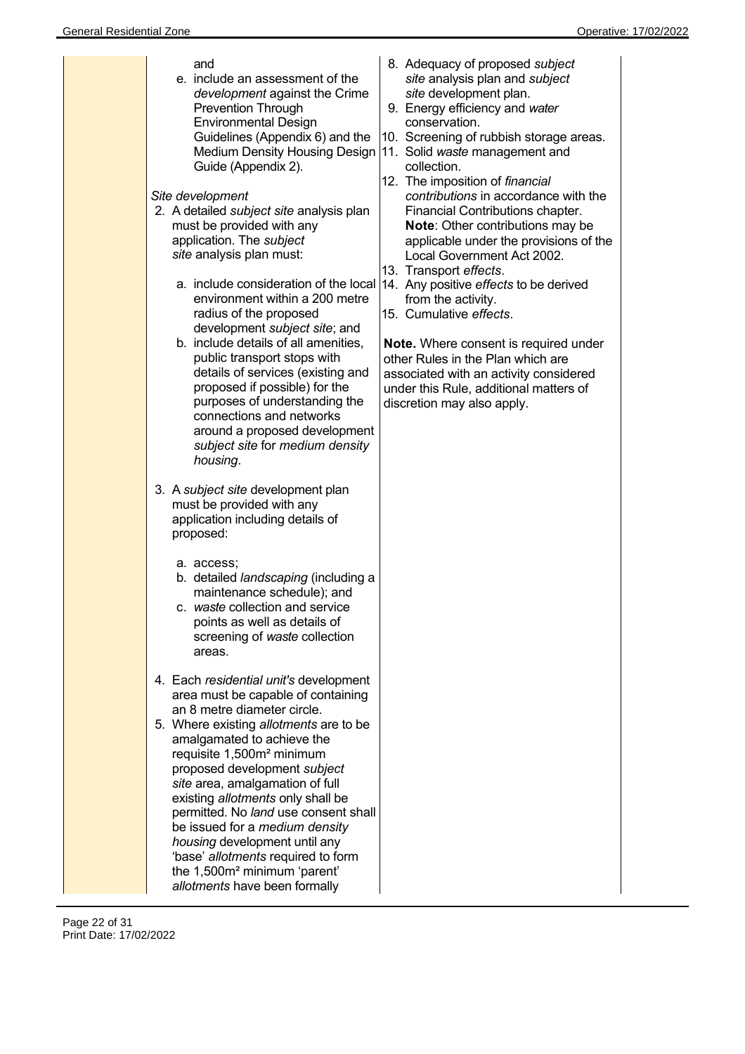| and<br>e. include an assessment of the<br>development against the Crime<br><b>Prevention Through</b><br><b>Environmental Design</b><br>Guidelines (Appendix 6) and the<br>Guide (Appendix 2).<br>Site development<br>2. A detailed <i>subject site</i> analysis plan<br>must be provided with any<br>application. The subject<br>site analysis plan must:<br>environment within a 200 metre<br>radius of the proposed<br>development subject site; and<br>b. include details of all amenities,<br>public transport stops with<br>details of services (existing and<br>proposed if possible) for the<br>purposes of understanding the<br>connections and networks<br>around a proposed development<br>subject site for medium density<br>housing.                                                                                                                                                | 8. Adequacy of proposed subject<br>site analysis plan and subject<br>site development plan.<br>9. Energy efficiency and water<br>conservation.<br>10. Screening of rubbish storage areas.<br>Medium Density Housing Design 11. Solid waste management and<br>collection.<br>12. The imposition of financial<br>contributions in accordance with the<br>Financial Contributions chapter.<br><b>Note:</b> Other contributions may be<br>applicable under the provisions of the<br>Local Government Act 2002.<br>13. Transport effects.<br>a. include consideration of the local  14. Any positive effects to be derived<br>from the activity.<br>15. Cumulative effects.<br><b>Note.</b> Where consent is required under<br>other Rules in the Plan which are<br>associated with an activity considered<br>under this Rule, additional matters of<br>discretion may also apply. |
|-------------------------------------------------------------------------------------------------------------------------------------------------------------------------------------------------------------------------------------------------------------------------------------------------------------------------------------------------------------------------------------------------------------------------------------------------------------------------------------------------------------------------------------------------------------------------------------------------------------------------------------------------------------------------------------------------------------------------------------------------------------------------------------------------------------------------------------------------------------------------------------------------|-------------------------------------------------------------------------------------------------------------------------------------------------------------------------------------------------------------------------------------------------------------------------------------------------------------------------------------------------------------------------------------------------------------------------------------------------------------------------------------------------------------------------------------------------------------------------------------------------------------------------------------------------------------------------------------------------------------------------------------------------------------------------------------------------------------------------------------------------------------------------------|
| 3. A subject site development plan<br>must be provided with any<br>application including details of<br>proposed:<br>a. access;<br>b. detailed landscaping (including a<br>maintenance schedule); and<br>c. waste collection and service<br>points as well as details of<br>screening of waste collection<br>areas.<br>4. Each residential unit's development<br>area must be capable of containing<br>an 8 metre diameter circle.<br>5. Where existing allotments are to be<br>amalgamated to achieve the<br>requisite 1,500m <sup>2</sup> minimum<br>proposed development subject<br>site area, amalgamation of full<br>existing allotments only shall be<br>permitted. No land use consent shall<br>be issued for a <i>medium</i> density<br>housing development until any<br>'base' allotments required to form<br>the 1,500m <sup>2</sup> minimum 'parent'<br>allotments have been formally |                                                                                                                                                                                                                                                                                                                                                                                                                                                                                                                                                                                                                                                                                                                                                                                                                                                                               |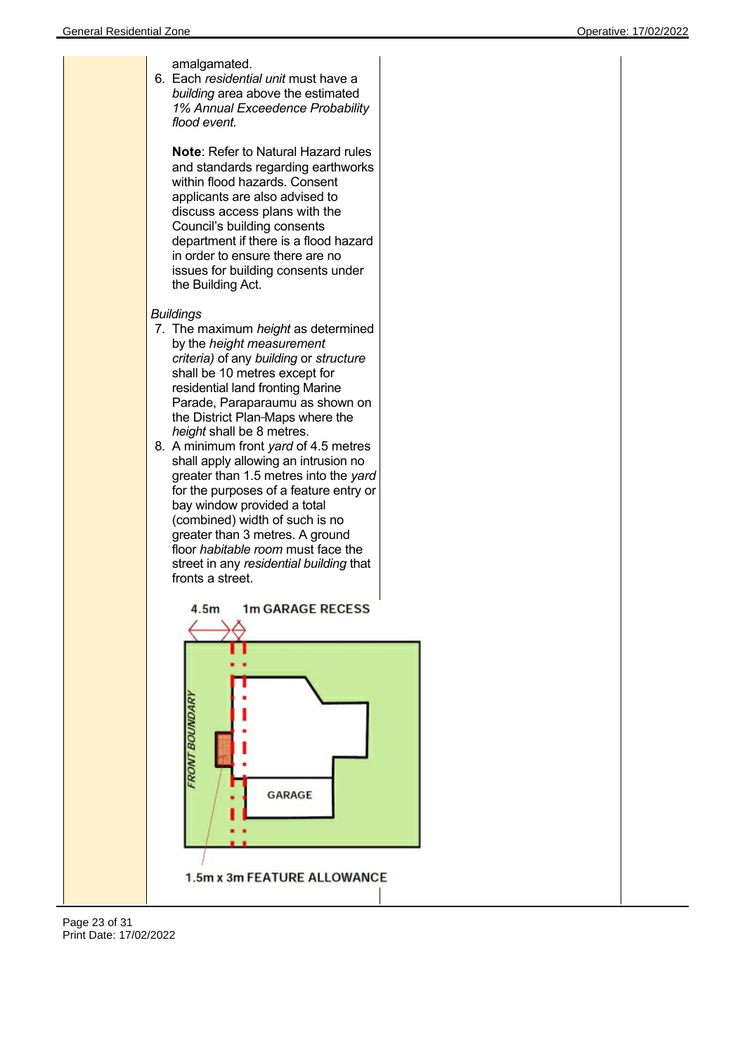

Page 23 of 31 Print Date: 17/02/2022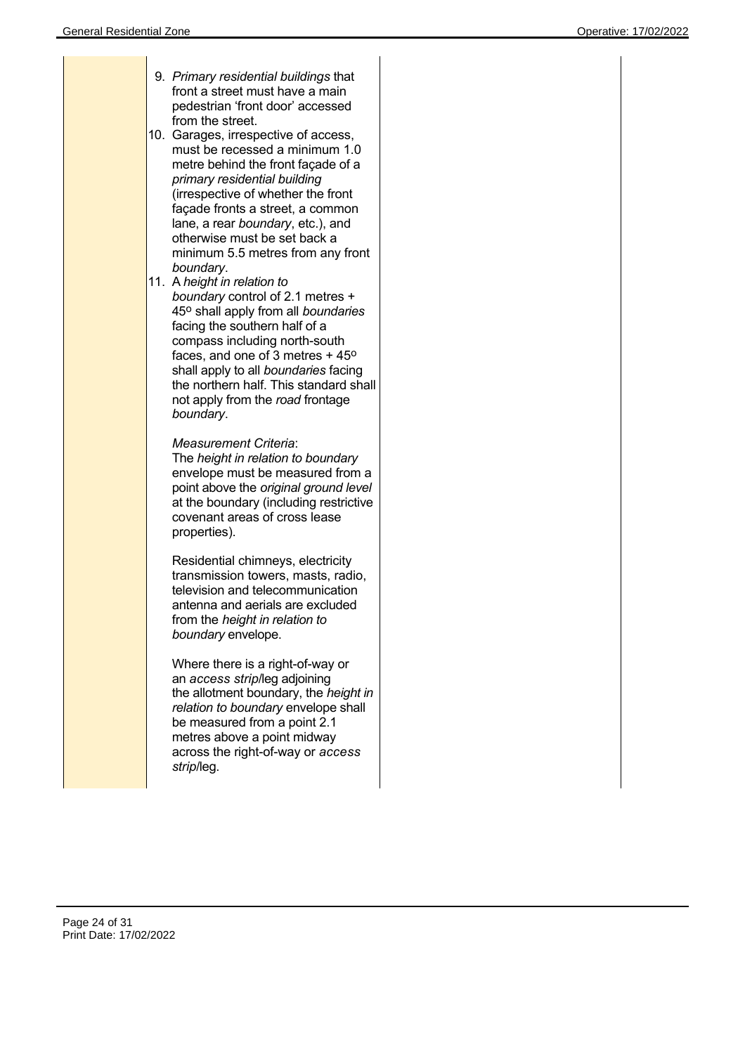| 9. Primary residential buildings that<br>front a street must have a main<br>pedestrian 'front door' accessed<br>from the street.<br>10.<br>Garages, irrespective of access,<br>must be recessed a minimum 1.0<br>metre behind the front façade of a<br>primary residential building<br>(irrespective of whether the front<br>façade fronts a street, a common<br>lane, a rear boundary, etc.), and<br>otherwise must be set back a<br>minimum 5.5 metres from any front<br>boundary.<br>11. A height in relation to<br>boundary control of 2.1 metres +<br>45° shall apply from all boundaries<br>facing the southern half of a<br>compass including north-south<br>faces, and one of 3 metres + 45°<br>shall apply to all boundaries facing<br>the northern half. This standard shall<br>not apply from the road frontage<br>boundary. |  |
|-----------------------------------------------------------------------------------------------------------------------------------------------------------------------------------------------------------------------------------------------------------------------------------------------------------------------------------------------------------------------------------------------------------------------------------------------------------------------------------------------------------------------------------------------------------------------------------------------------------------------------------------------------------------------------------------------------------------------------------------------------------------------------------------------------------------------------------------|--|
| Measurement Criteria:<br>The height in relation to boundary<br>envelope must be measured from a<br>point above the original ground level<br>at the boundary (including restrictive<br>covenant areas of cross lease<br>properties).                                                                                                                                                                                                                                                                                                                                                                                                                                                                                                                                                                                                     |  |
| Residential chimneys, electricity<br>transmission towers, masts, radio,<br>television and telecommunication<br>antenna and aerials are excluded<br>from the height in relation to<br>boundary envelope.                                                                                                                                                                                                                                                                                                                                                                                                                                                                                                                                                                                                                                 |  |
| Where there is a right-of-way or<br>an access strip/leg adjoining<br>the allotment boundary, the height in<br>relation to boundary envelope shall<br>be measured from a point 2.1<br>metres above a point midway<br>across the right-of-way or access<br>strip/leg.                                                                                                                                                                                                                                                                                                                                                                                                                                                                                                                                                                     |  |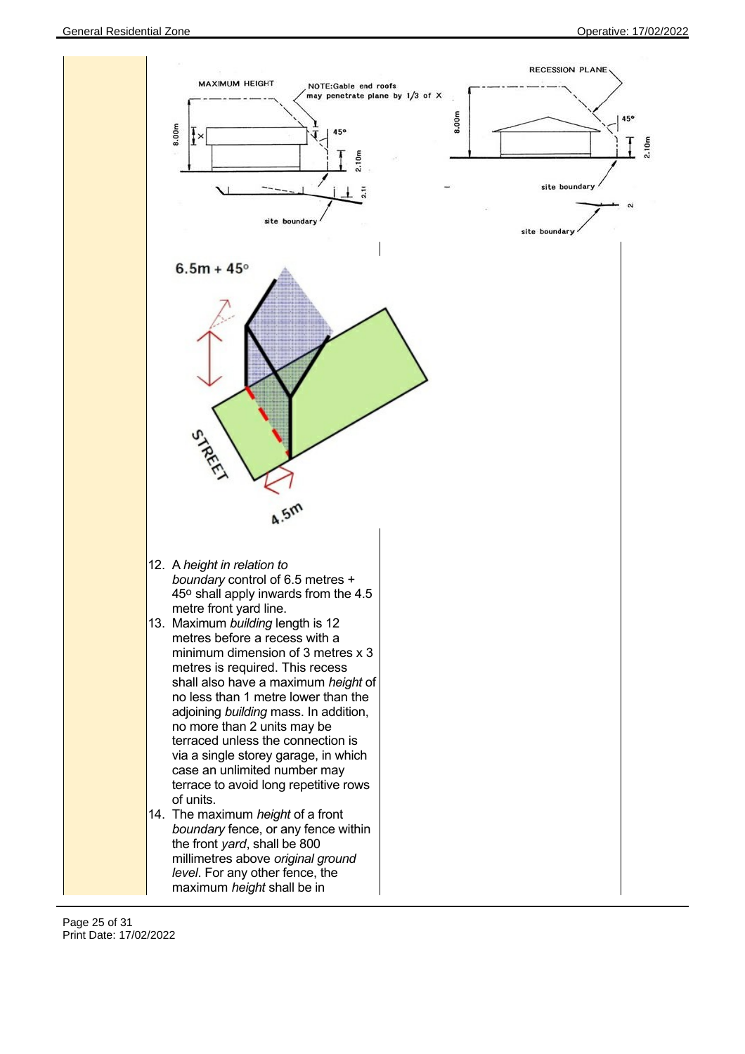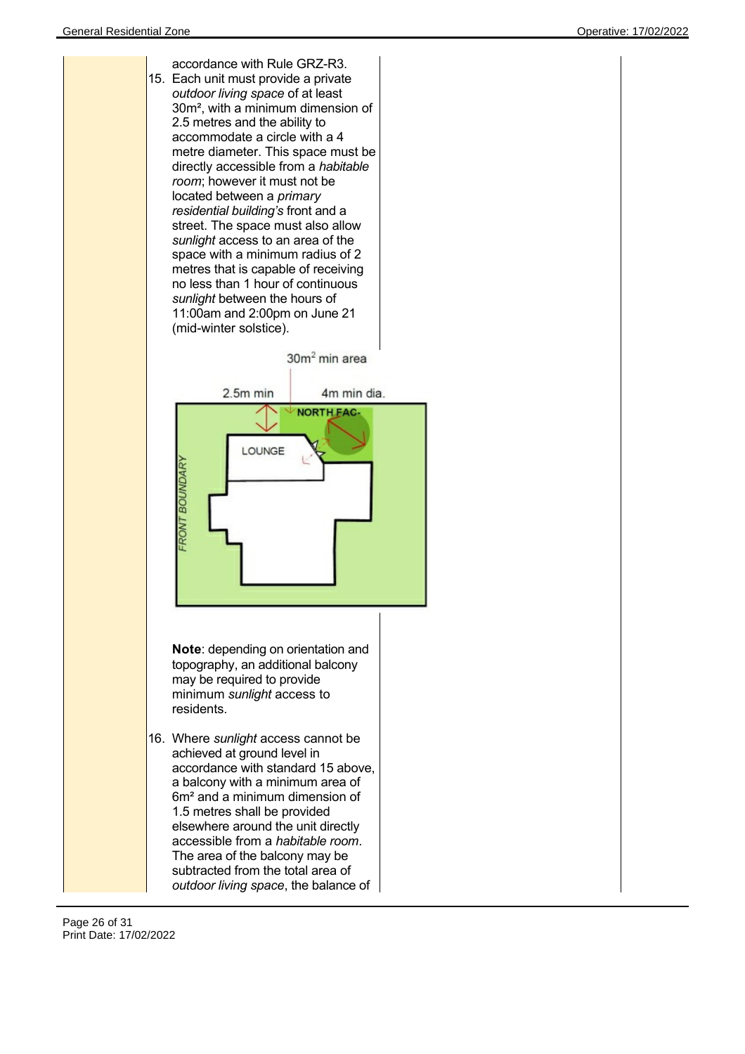

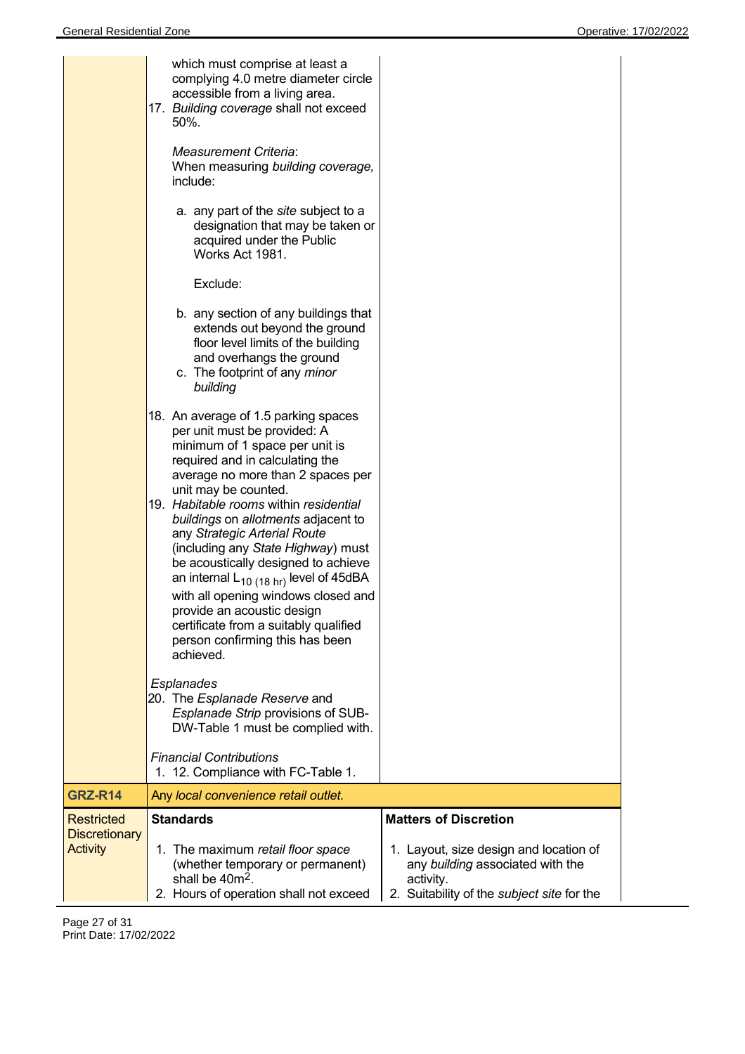|                                         | which must comprise at least a<br>complying 4.0 metre diameter circle<br>accessible from a living area.<br>17. Building coverage shall not exceed<br>50%.<br><b>Measurement Criteria:</b><br>When measuring building coverage,<br>include:<br>a. any part of the site subject to a<br>designation that may be taken or<br>acquired under the Public<br>Works Act 1981.<br>Exclude:<br>b. any section of any buildings that<br>extends out beyond the ground<br>floor level limits of the building<br>and overhangs the ground<br>c. The footprint of any minor<br>building<br>18. An average of 1.5 parking spaces<br>per unit must be provided: A<br>minimum of 1 space per unit is<br>required and in calculating the<br>average no more than 2 spaces per<br>unit may be counted.<br>19. Habitable rooms within residential<br>buildings on allotments adjacent to<br>any Strategic Arterial Route<br>(including any State Highway) must<br>be acoustically designed to achieve<br>an internal $L_{10(18 \text{ hr})}$ level of 45dBA<br>with all opening windows closed and<br>provide an acoustic design<br>certificate from a suitably qualified<br>person confirming this has been<br>achieved.<br><b>Esplanades</b><br>20. The Esplanade Reserve and<br>Esplanade Strip provisions of SUB-<br>DW-Table 1 must be complied with.<br><b>Financial Contributions</b> |                                                                                                                                       |
|-----------------------------------------|---------------------------------------------------------------------------------------------------------------------------------------------------------------------------------------------------------------------------------------------------------------------------------------------------------------------------------------------------------------------------------------------------------------------------------------------------------------------------------------------------------------------------------------------------------------------------------------------------------------------------------------------------------------------------------------------------------------------------------------------------------------------------------------------------------------------------------------------------------------------------------------------------------------------------------------------------------------------------------------------------------------------------------------------------------------------------------------------------------------------------------------------------------------------------------------------------------------------------------------------------------------------------------------------------------------------------------------------------------------------------|---------------------------------------------------------------------------------------------------------------------------------------|
| <b>GRZ-R14</b>                          | 1. 12. Compliance with FC-Table 1.<br>Any local convenience retail outlet.                                                                                                                                                                                                                                                                                                                                                                                                                                                                                                                                                                                                                                                                                                                                                                                                                                                                                                                                                                                                                                                                                                                                                                                                                                                                                                |                                                                                                                                       |
| Restricted                              | <b>Standards</b>                                                                                                                                                                                                                                                                                                                                                                                                                                                                                                                                                                                                                                                                                                                                                                                                                                                                                                                                                                                                                                                                                                                                                                                                                                                                                                                                                          | <b>Matters of Discretion</b>                                                                                                          |
| <b>Discretionary</b><br><b>Activity</b> | 1. The maximum retail floor space<br>(whether temporary or permanent)<br>shall be 40m <sup>2</sup> .<br>2. Hours of operation shall not exceed                                                                                                                                                                                                                                                                                                                                                                                                                                                                                                                                                                                                                                                                                                                                                                                                                                                                                                                                                                                                                                                                                                                                                                                                                            | 1. Layout, size design and location of<br>any building associated with the<br>activity.<br>2. Suitability of the subject site for the |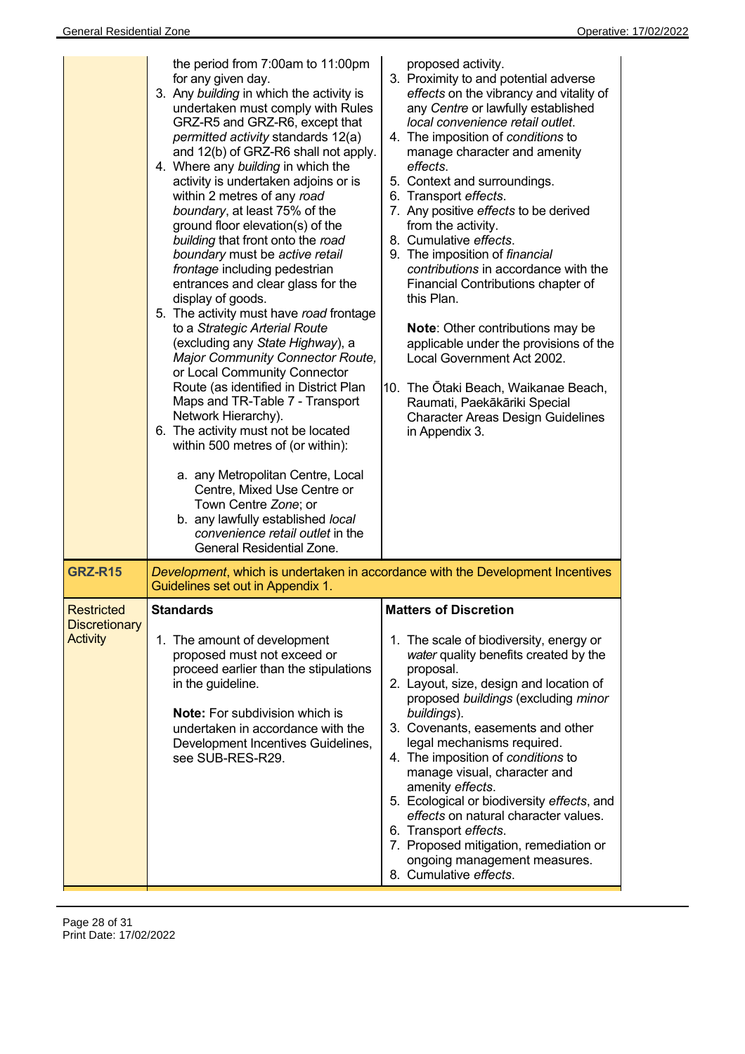|                                                       | the period from 7:00am to 11:00pm<br>for any given day.<br>3. Any building in which the activity is<br>undertaken must comply with Rules<br>GRZ-R5 and GRZ-R6, except that<br><i>permitted activity</i> standards 12(a)<br>and 12(b) of GRZ-R6 shall not apply.<br>4. Where any building in which the<br>activity is undertaken adjoins or is<br>within 2 metres of any road<br>boundary, at least 75% of the<br>ground floor elevation(s) of the<br>building that front onto the road<br>boundary must be active retail<br>frontage including pedestrian<br>entrances and clear glass for the<br>display of goods.<br>5. The activity must have road frontage<br>to a Strategic Arterial Route<br>(excluding any State Highway), a<br><b>Major Community Connector Route,</b><br>or Local Community Connector<br>Route (as identified in District Plan<br>Maps and TR-Table 7 - Transport<br>Network Hierarchy).<br>6. The activity must not be located<br>within 500 metres of (or within):<br>a. any Metropolitan Centre, Local<br>Centre, Mixed Use Centre or<br>Town Centre Zone; or<br>b. any lawfully established local<br>convenience retail outlet in the<br>General Residential Zone. | proposed activity.<br>3. Proximity to and potential adverse<br>effects on the vibrancy and vitality of<br>any Centre or lawfully established<br>local convenience retail outlet.<br>4. The imposition of conditions to<br>manage character and amenity<br>effects.<br>5. Context and surroundings.<br>6. Transport effects.<br>7. Any positive effects to be derived<br>from the activity.<br>8. Cumulative effects.<br>9. The imposition of financial<br>contributions in accordance with the<br>Financial Contributions chapter of<br>this Plan.<br>Note: Other contributions may be<br>applicable under the provisions of the<br>Local Government Act 2002.<br>10. The Otaki Beach, Waikanae Beach,<br>Raumati, Paekākāriki Special<br><b>Character Areas Design Guidelines</b><br>in Appendix 3. |
|-------------------------------------------------------|-------------------------------------------------------------------------------------------------------------------------------------------------------------------------------------------------------------------------------------------------------------------------------------------------------------------------------------------------------------------------------------------------------------------------------------------------------------------------------------------------------------------------------------------------------------------------------------------------------------------------------------------------------------------------------------------------------------------------------------------------------------------------------------------------------------------------------------------------------------------------------------------------------------------------------------------------------------------------------------------------------------------------------------------------------------------------------------------------------------------------------------------------------------------------------------------------|------------------------------------------------------------------------------------------------------------------------------------------------------------------------------------------------------------------------------------------------------------------------------------------------------------------------------------------------------------------------------------------------------------------------------------------------------------------------------------------------------------------------------------------------------------------------------------------------------------------------------------------------------------------------------------------------------------------------------------------------------------------------------------------------------|
| <b>GRZ-R15</b>                                        | Guidelines set out in Appendix 1.                                                                                                                                                                                                                                                                                                                                                                                                                                                                                                                                                                                                                                                                                                                                                                                                                                                                                                                                                                                                                                                                                                                                                               | Development, which is undertaken in accordance with the Development Incentives                                                                                                                                                                                                                                                                                                                                                                                                                                                                                                                                                                                                                                                                                                                       |
| Restricted<br><b>Discretionary</b><br><b>Activity</b> | Standards<br>1. The amount of development<br>proposed must not exceed or<br>proceed earlier than the stipulations<br>in the guideline.<br><b>Note:</b> For subdivision which is<br>undertaken in accordance with the<br>Development Incentives Guidelines,<br>see SUB-RES-R29.                                                                                                                                                                                                                                                                                                                                                                                                                                                                                                                                                                                                                                                                                                                                                                                                                                                                                                                  | <b>Matters of Discretion</b><br>1. The scale of biodiversity, energy or<br>water quality benefits created by the<br>proposal.<br>2. Layout, size, design and location of<br>proposed buildings (excluding minor<br>buildings).<br>3. Covenants, easements and other<br>legal mechanisms required.<br>4. The imposition of conditions to<br>manage visual, character and<br>amenity effects.<br>5. Ecological or biodiversity effects, and<br>effects on natural character values.<br>6. Transport effects.<br>7. Proposed mitigation, remediation or<br>ongoing management measures.<br>8. Cumulative effects.                                                                                                                                                                                       |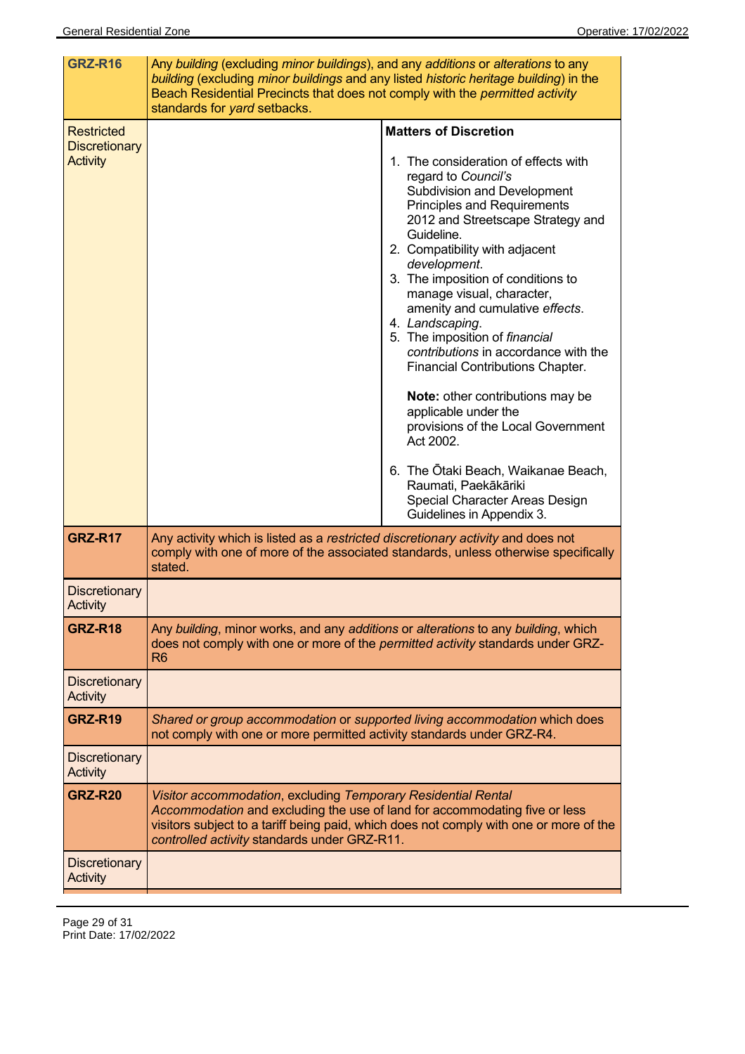| <b>GRZ-R16</b>                                               | Any building (excluding minor buildings), and any additions or alterations to any<br>building (excluding minor buildings and any listed historic heritage building) in the<br>Beach Residential Precincts that does not comply with the permitted activity<br>standards for yard setbacks.                                                                                                                                                                                                                                                                                                                                                                                                                                                                              |
|--------------------------------------------------------------|-------------------------------------------------------------------------------------------------------------------------------------------------------------------------------------------------------------------------------------------------------------------------------------------------------------------------------------------------------------------------------------------------------------------------------------------------------------------------------------------------------------------------------------------------------------------------------------------------------------------------------------------------------------------------------------------------------------------------------------------------------------------------|
| <b>Restricted</b><br><b>Discretionary</b><br><b>Activity</b> | <b>Matters of Discretion</b><br>1. The consideration of effects with<br>regard to Council's<br>Subdivision and Development<br><b>Principles and Requirements</b><br>2012 and Streetscape Strategy and<br>Guideline.<br>2. Compatibility with adjacent<br>development.<br>3. The imposition of conditions to<br>manage visual, character,<br>amenity and cumulative effects.<br>4. Landscaping.<br>5. The imposition of financial<br>contributions in accordance with the<br><b>Financial Contributions Chapter.</b><br><b>Note:</b> other contributions may be<br>applicable under the<br>provisions of the Local Government<br>Act 2002.<br>6. The Otaki Beach, Waikanae Beach,<br>Raumati, Paekākāriki<br>Special Character Areas Design<br>Guidelines in Appendix 3. |
| <b>GRZ-R17</b>                                               | Any activity which is listed as a restricted discretionary activity and does not<br>comply with one of more of the associated standards, unless otherwise specifically<br>stated.                                                                                                                                                                                                                                                                                                                                                                                                                                                                                                                                                                                       |
| <b>Discretionary</b><br><b>Activity</b>                      |                                                                                                                                                                                                                                                                                                                                                                                                                                                                                                                                                                                                                                                                                                                                                                         |
| <b>GRZ-R18</b>                                               | Any building, minor works, and any additions or alterations to any building, which<br>does not comply with one or more of the <i>permitted activity</i> standards under GRZ-<br>R <sub>6</sub>                                                                                                                                                                                                                                                                                                                                                                                                                                                                                                                                                                          |
| <b>Discretionary</b><br><b>Activity</b>                      |                                                                                                                                                                                                                                                                                                                                                                                                                                                                                                                                                                                                                                                                                                                                                                         |
| <b>GRZ-R19</b>                                               | Shared or group accommodation or supported living accommodation which does<br>not comply with one or more permitted activity standards under GRZ-R4.                                                                                                                                                                                                                                                                                                                                                                                                                                                                                                                                                                                                                    |
| <b>Discretionary</b><br><b>Activity</b>                      |                                                                                                                                                                                                                                                                                                                                                                                                                                                                                                                                                                                                                                                                                                                                                                         |
| <b>GRZ-R20</b>                                               | Visitor accommodation, excluding Temporary Residential Rental<br>Accommodation and excluding the use of land for accommodating five or less<br>visitors subject to a tariff being paid, which does not comply with one or more of the<br>controlled activity standards under GRZ-R11.                                                                                                                                                                                                                                                                                                                                                                                                                                                                                   |
| <b>Discretionary</b><br><b>Activity</b>                      |                                                                                                                                                                                                                                                                                                                                                                                                                                                                                                                                                                                                                                                                                                                                                                         |

Page 29 of 31 Print Date: 17/02/2022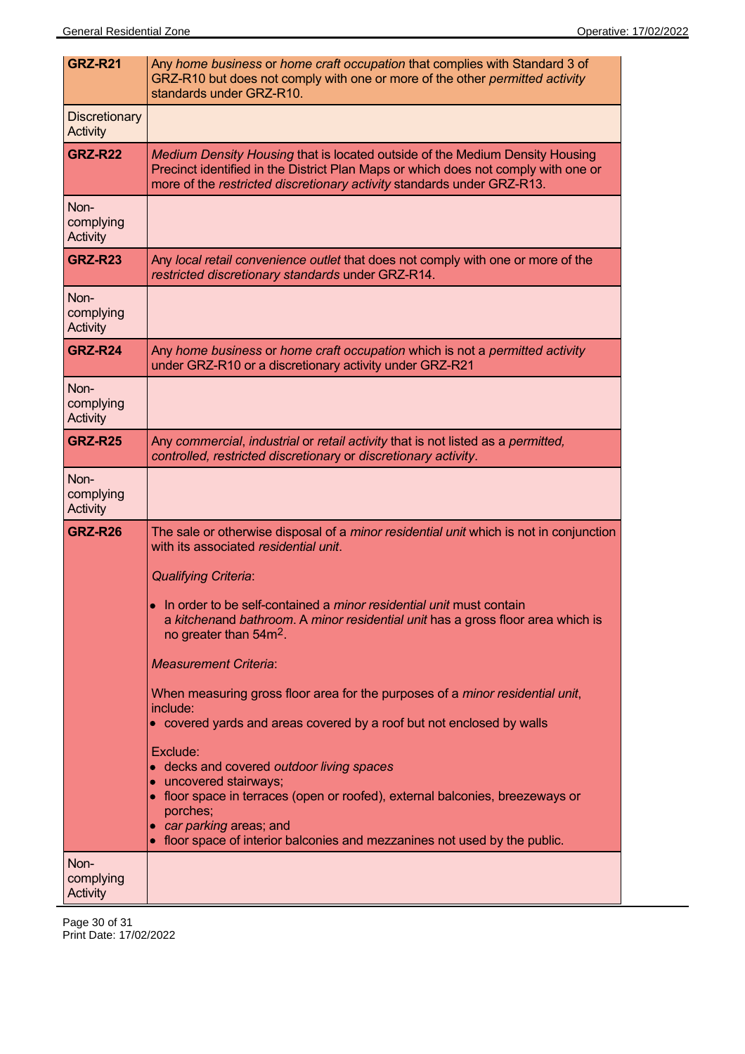| <b>GRZ-R21</b>                          | Any home business or home craft occupation that complies with Standard 3 of<br>GRZ-R10 but does not comply with one or more of the other permitted activity<br>standards under GRZ-R10.                                                                                                                                                                                                                                                                                                                                                                                                                                                                                                                                                                                                                                                                                         |
|-----------------------------------------|---------------------------------------------------------------------------------------------------------------------------------------------------------------------------------------------------------------------------------------------------------------------------------------------------------------------------------------------------------------------------------------------------------------------------------------------------------------------------------------------------------------------------------------------------------------------------------------------------------------------------------------------------------------------------------------------------------------------------------------------------------------------------------------------------------------------------------------------------------------------------------|
| <b>Discretionary</b><br><b>Activity</b> |                                                                                                                                                                                                                                                                                                                                                                                                                                                                                                                                                                                                                                                                                                                                                                                                                                                                                 |
| <b>GRZ-R22</b>                          | Medium Density Housing that is located outside of the Medium Density Housing<br>Precinct identified in the District Plan Maps or which does not comply with one or<br>more of the restricted discretionary activity standards under GRZ-R13.                                                                                                                                                                                                                                                                                                                                                                                                                                                                                                                                                                                                                                    |
| Non-<br>complying<br><b>Activity</b>    |                                                                                                                                                                                                                                                                                                                                                                                                                                                                                                                                                                                                                                                                                                                                                                                                                                                                                 |
| <b>GRZ-R23</b>                          | Any local retail convenience outlet that does not comply with one or more of the<br>restricted discretionary standards under GRZ-R14.                                                                                                                                                                                                                                                                                                                                                                                                                                                                                                                                                                                                                                                                                                                                           |
| Non-<br>complying<br>Activity           |                                                                                                                                                                                                                                                                                                                                                                                                                                                                                                                                                                                                                                                                                                                                                                                                                                                                                 |
| <b>GRZ-R24</b>                          | Any home business or home craft occupation which is not a permitted activity<br>under GRZ-R10 or a discretionary activity under GRZ-R21                                                                                                                                                                                                                                                                                                                                                                                                                                                                                                                                                                                                                                                                                                                                         |
| Non-<br>complying<br>Activity           |                                                                                                                                                                                                                                                                                                                                                                                                                                                                                                                                                                                                                                                                                                                                                                                                                                                                                 |
| <b>GRZ-R25</b>                          | Any commercial, industrial or retail activity that is not listed as a permitted,<br>controlled, restricted discretionary or discretionary activity.                                                                                                                                                                                                                                                                                                                                                                                                                                                                                                                                                                                                                                                                                                                             |
| Non-<br>complying<br>Activity           |                                                                                                                                                                                                                                                                                                                                                                                                                                                                                                                                                                                                                                                                                                                                                                                                                                                                                 |
| <b>GRZ-R26</b>                          | The sale or otherwise disposal of a <i>minor residential unit</i> which is not in conjunction<br>with its associated residential unit.<br><b>Qualifying Criteria:</b><br>• In order to be self-contained a minor residential unit must contain<br>a kitchenand bathroom. A minor residential unit has a gross floor area which is<br>no greater than 54m <sup>2</sup> .<br><b>Measurement Criteria:</b><br>When measuring gross floor area for the purposes of a <i>minor residential unit</i> ,<br>include:<br>• covered yards and areas covered by a roof but not enclosed by walls<br>Exclude:<br>• decks and covered outdoor living spaces<br>• uncovered stairways;<br>• floor space in terraces (open or roofed), external balconies, breezeways or<br>porches;<br>• car parking areas; and<br>• floor space of interior balconies and mezzanines not used by the public. |
| Non-<br>complying<br><b>Activity</b>    |                                                                                                                                                                                                                                                                                                                                                                                                                                                                                                                                                                                                                                                                                                                                                                                                                                                                                 |

Page 30 of 31 Print Date: 17/02/2022